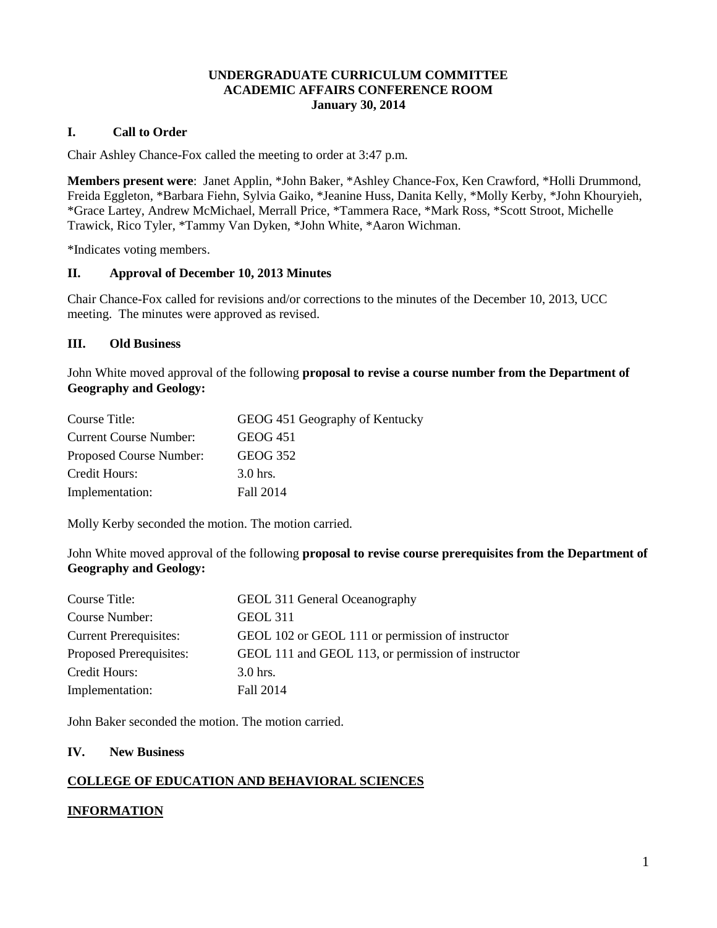#### **UNDERGRADUATE CURRICULUM COMMITTEE ACADEMIC AFFAIRS CONFERENCE ROOM January 30, 2014**

#### **I. Call to Order**

Chair Ashley Chance-Fox called the meeting to order at 3:47 p.m.

**Members present were**: Janet Applin, \*John Baker, \*Ashley Chance-Fox, Ken Crawford, \*Holli Drummond, Freida Eggleton, \*Barbara Fiehn, Sylvia Gaiko, \*Jeanine Huss, Danita Kelly, \*Molly Kerby, \*John Khouryieh, \*Grace Lartey, Andrew McMichael, Merrall Price, \*Tammera Race, \*Mark Ross, \*Scott Stroot, Michelle Trawick, Rico Tyler, \*Tammy Van Dyken, \*John White, \*Aaron Wichman.

\*Indicates voting members.

#### **II. Approval of December 10, 2013 Minutes**

Chair Chance-Fox called for revisions and/or corrections to the minutes of the December 10, 2013, UCC meeting. The minutes were approved as revised.

#### **III. Old Business**

John White moved approval of the following **proposal to revise a course number from the Department of Geography and Geology:**

| Course Title:                 | GEOG 451 Geography of Kentucky |
|-------------------------------|--------------------------------|
| <b>Current Course Number:</b> | <b>GEOG 451</b>                |
| Proposed Course Number:       | <b>GEOG 352</b>                |
| Credit Hours:                 | 3.0 hrs.                       |
| Implementation:               | Fall 2014                      |

Molly Kerby seconded the motion. The motion carried.

John White moved approval of the following **proposal to revise course prerequisites from the Department of Geography and Geology:**

| Course Title:                  | GEOL 311 General Oceanography                      |
|--------------------------------|----------------------------------------------------|
| Course Number:                 | <b>GEOL 311</b>                                    |
| <b>Current Prerequisites:</b>  | GEOL 102 or GEOL 111 or permission of instructor   |
| <b>Proposed Prerequisites:</b> | GEOL 111 and GEOL 113, or permission of instructor |
| Credit Hours:                  | $3.0$ hrs.                                         |
| Implementation:                | Fall 2014                                          |

John Baker seconded the motion. The motion carried.

#### **IV. New Business**

#### **COLLEGE OF EDUCATION AND BEHAVIORAL SCIENCES**

### **INFORMATION**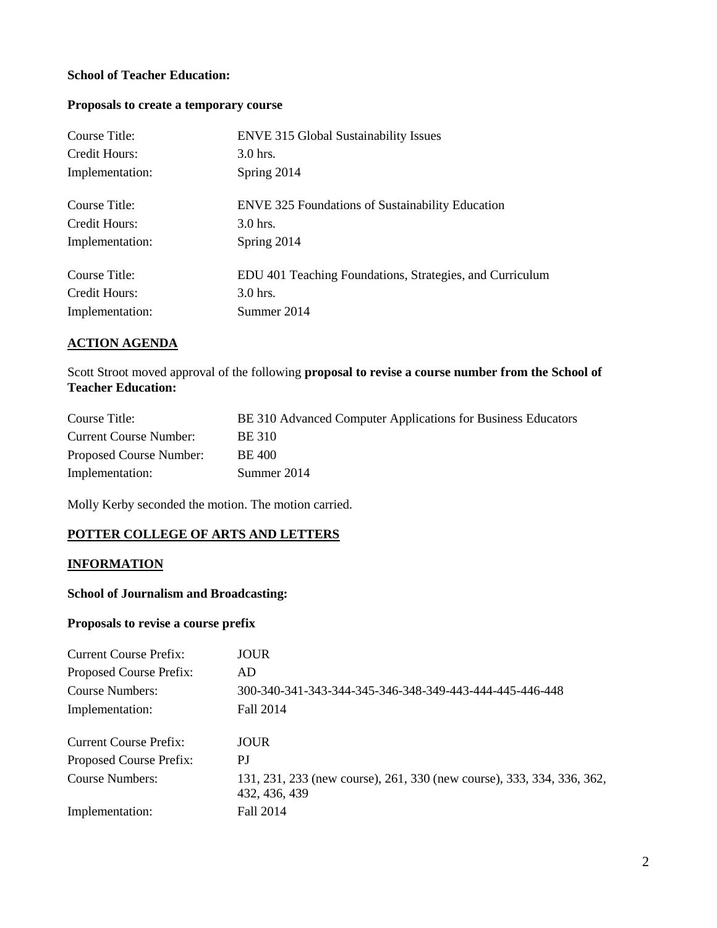### **School of Teacher Education:**

# **Proposals to create a temporary course**

| Course Title:   | <b>ENVE 315 Global Sustainability Issues</b>             |
|-----------------|----------------------------------------------------------|
| Credit Hours:   | $3.0$ hrs.                                               |
| Implementation: | Spring 2014                                              |
| Course Title:   | <b>ENVE 325 Foundations of Sustainability Education</b>  |
| Credit Hours:   | $3.0$ hrs.                                               |
| Implementation: | Spring 2014                                              |
| Course Title:   | EDU 401 Teaching Foundations, Strategies, and Curriculum |
| Credit Hours:   | $3.0$ hrs.                                               |
| Implementation: | Summer 2014                                              |

## **ACTION AGENDA**

Scott Stroot moved approval of the following **proposal to revise a course number from the School of Teacher Education:**

| Course Title:           | BE 310 Advanced Computer Applications for Business Educators |
|-------------------------|--------------------------------------------------------------|
| Current Course Number:  | BE 310                                                       |
| Proposed Course Number: | BE 400                                                       |
| Implementation:         | Summer 2014                                                  |

Molly Kerby seconded the motion. The motion carried.

# **POTTER COLLEGE OF ARTS AND LETTERS**

#### **INFORMATION**

### **School of Journalism and Broadcasting:**

#### **Proposals to revise a course prefix**

| Current Course Prefix:  | JOUR                                                                                    |
|-------------------------|-----------------------------------------------------------------------------------------|
| Proposed Course Prefix: | AD                                                                                      |
| Course Numbers:         | 300-340-341-343-344-345-346-348-349-443-444-445-446-448                                 |
| Implementation:         | Fall 2014                                                                               |
| Current Course Prefix:  | <b>JOUR</b>                                                                             |
| Proposed Course Prefix: | PJ                                                                                      |
| Course Numbers:         | 131, 231, 233 (new course), 261, 330 (new course), 333, 334, 336, 362,<br>432, 436, 439 |
| Implementation:         | Fall 2014                                                                               |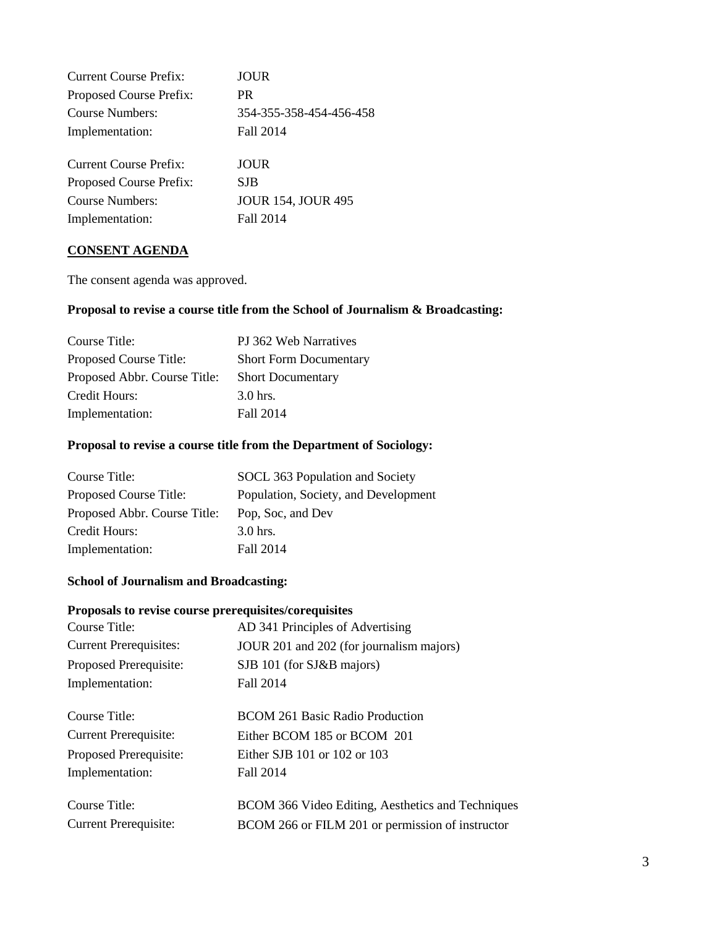| Current Course Prefix:  | JOUR                      |
|-------------------------|---------------------------|
| Proposed Course Prefix: | PR.                       |
| <b>Course Numbers:</b>  | 354-355-358-454-456-458   |
| Implementation:         | Fall 2014                 |
|                         |                           |
| Current Course Prefix:  | JOUR                      |
| Proposed Course Prefix: | <b>SJB</b>                |
| Course Numbers:         | <b>JOUR 154, JOUR 495</b> |
| Implementation:         | Fall 2014                 |
|                         |                           |

### **CONSENT AGENDA**

The consent agenda was approved.

## **Proposal to revise a course title from the School of Journalism & Broadcasting:**

| Course Title:                | PJ 362 Web Narratives         |
|------------------------------|-------------------------------|
| Proposed Course Title:       | <b>Short Form Documentary</b> |
| Proposed Abbr. Course Title: | <b>Short Documentary</b>      |
| Credit Hours:                | $3.0$ hrs.                    |
| Implementation:              | Fall 2014                     |

# **Proposal to revise a course title from the Department of Sociology:**

| Course Title:                | SOCL 363 Population and Society      |
|------------------------------|--------------------------------------|
| Proposed Course Title:       | Population, Society, and Development |
| Proposed Abbr. Course Title: | Pop, Soc, and Dev                    |
| Credit Hours:                | $3.0$ hrs.                           |
| Implementation:              | Fall 2014                            |

# **School of Journalism and Broadcasting:**

#### **Proposals to revise course prerequisites/corequisites**

| Course Title:                 | AD 341 Principles of Advertising                  |
|-------------------------------|---------------------------------------------------|
| <b>Current Prerequisites:</b> | JOUR 201 and 202 (for journalism majors)          |
| Proposed Prerequisite:        | SJB 101 (for SJ&B majors)                         |
| Implementation:               | Fall 2014                                         |
|                               |                                                   |
| Course Title:                 | <b>BCOM 261 Basic Radio Production</b>            |
| <b>Current Prerequisite:</b>  | Either BCOM 185 or BCOM 201                       |
| Proposed Prerequisite:        | Either SJB 101 or 102 or 103                      |
| Implementation:               | Fall 2014                                         |
|                               |                                                   |
| Course Title:                 | BCOM 366 Video Editing, Aesthetics and Techniques |
| <b>Current Prerequisite:</b>  | BCOM 266 or FILM 201 or permission of instructor  |
|                               |                                                   |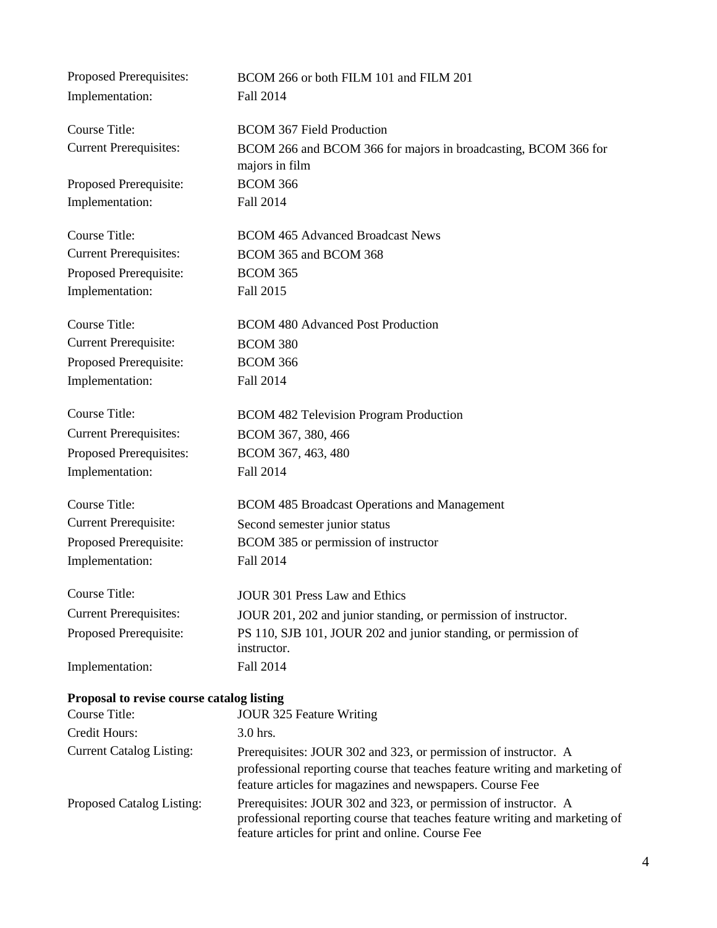| Proposed Prerequisites:                   | BCOM 266 or both FILM 101 and FILM 201                                                                                                                                                                      |
|-------------------------------------------|-------------------------------------------------------------------------------------------------------------------------------------------------------------------------------------------------------------|
| Implementation:                           | Fall 2014                                                                                                                                                                                                   |
| <b>Course Title:</b>                      | <b>BCOM 367 Field Production</b>                                                                                                                                                                            |
| <b>Current Prerequisites:</b>             | BCOM 266 and BCOM 366 for majors in broadcasting, BCOM 366 for<br>majors in film                                                                                                                            |
| Proposed Prerequisite:                    | <b>BCOM 366</b>                                                                                                                                                                                             |
| Implementation:                           | Fall 2014                                                                                                                                                                                                   |
| <b>Course Title:</b>                      | <b>BCOM 465 Advanced Broadcast News</b>                                                                                                                                                                     |
| <b>Current Prerequisites:</b>             | BCOM 365 and BCOM 368                                                                                                                                                                                       |
| Proposed Prerequisite:                    | <b>BCOM 365</b>                                                                                                                                                                                             |
| Implementation:                           | Fall 2015                                                                                                                                                                                                   |
| <b>Course Title:</b>                      | <b>BCOM 480 Advanced Post Production</b>                                                                                                                                                                    |
| <b>Current Prerequisite:</b>              | <b>BCOM 380</b>                                                                                                                                                                                             |
| Proposed Prerequisite:                    | <b>BCOM 366</b>                                                                                                                                                                                             |
| Implementation:                           | Fall 2014                                                                                                                                                                                                   |
| Course Title:                             | <b>BCOM 482 Television Program Production</b>                                                                                                                                                               |
| <b>Current Prerequisites:</b>             | BCOM 367, 380, 466                                                                                                                                                                                          |
| Proposed Prerequisites:                   | BCOM 367, 463, 480                                                                                                                                                                                          |
| Implementation:                           | Fall 2014                                                                                                                                                                                                   |
| <b>Course Title:</b>                      | <b>BCOM 485 Broadcast Operations and Management</b>                                                                                                                                                         |
| <b>Current Prerequisite:</b>              | Second semester junior status                                                                                                                                                                               |
| Proposed Prerequisite:                    | BCOM 385 or permission of instructor                                                                                                                                                                        |
| Implementation:                           | Fall 2014                                                                                                                                                                                                   |
| Course Title:                             | <b>JOUR 301 Press Law and Ethics</b>                                                                                                                                                                        |
| <b>Current Prerequisites:</b>             | JOUR 201, 202 and junior standing, or permission of instructor.                                                                                                                                             |
| Proposed Prerequisite:                    | PS 110, SJB 101, JOUR 202 and junior standing, or permission of<br>instructor.                                                                                                                              |
| Implementation:                           | Fall 2014                                                                                                                                                                                                   |
| Proposal to revise course catalog listing |                                                                                                                                                                                                             |
| <b>Course Title:</b>                      | JOUR 325 Feature Writing                                                                                                                                                                                    |
| Credit Hours:                             | 3.0 hrs.                                                                                                                                                                                                    |
| <b>Current Catalog Listing:</b>           | Prerequisites: JOUR 302 and 323, or permission of instructor. A<br>professional reporting course that teaches feature writing and marketing of<br>feature articles for magazines and newspapers. Course Fee |
| Proposed Catalog Listing:                 | Prerequisites: JOUR 302 and 323, or permission of instructor. A<br>professional reporting course that teaches feature writing and marketing of<br>feature articles for print and online. Course Fee         |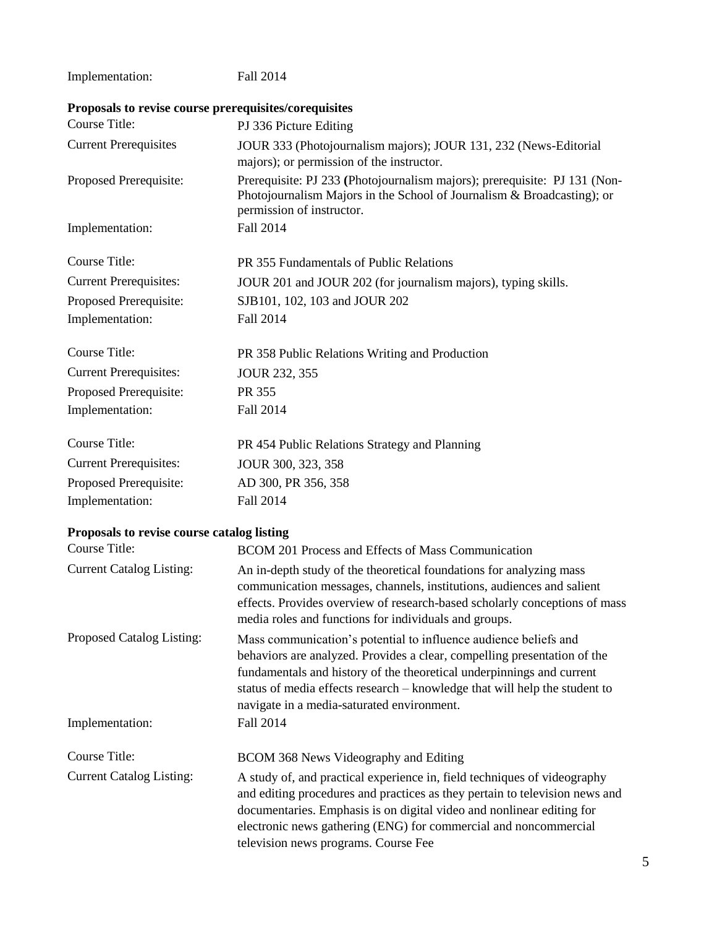Implementation: Fall 2014 **Proposals to revise course prerequisites/corequisites**

| Course Title:                              | PJ 336 Picture Editing                                                                                                                                                                                                                                                                                                                            |
|--------------------------------------------|---------------------------------------------------------------------------------------------------------------------------------------------------------------------------------------------------------------------------------------------------------------------------------------------------------------------------------------------------|
| <b>Current Prerequisites</b>               | JOUR 333 (Photojournalism majors); JOUR 131, 232 (News-Editorial                                                                                                                                                                                                                                                                                  |
|                                            | majors); or permission of the instructor.                                                                                                                                                                                                                                                                                                         |
| Proposed Prerequisite:                     | Prerequisite: PJ 233 (Photojournalism majors); prerequisite: PJ 131 (Non-<br>Photojournalism Majors in the School of Journalism & Broadcasting); or<br>permission of instructor.                                                                                                                                                                  |
| Implementation:                            | Fall 2014                                                                                                                                                                                                                                                                                                                                         |
| Course Title:                              | PR 355 Fundamentals of Public Relations                                                                                                                                                                                                                                                                                                           |
| <b>Current Prerequisites:</b>              | JOUR 201 and JOUR 202 (for journalism majors), typing skills.                                                                                                                                                                                                                                                                                     |
| Proposed Prerequisite:                     | SJB101, 102, 103 and JOUR 202                                                                                                                                                                                                                                                                                                                     |
| Implementation:                            | Fall 2014                                                                                                                                                                                                                                                                                                                                         |
| Course Title:                              | PR 358 Public Relations Writing and Production                                                                                                                                                                                                                                                                                                    |
| <b>Current Prerequisites:</b>              | JOUR 232, 355                                                                                                                                                                                                                                                                                                                                     |
| Proposed Prerequisite:                     | PR 355                                                                                                                                                                                                                                                                                                                                            |
| Implementation:                            | Fall 2014                                                                                                                                                                                                                                                                                                                                         |
| Course Title:                              | PR 454 Public Relations Strategy and Planning                                                                                                                                                                                                                                                                                                     |
| <b>Current Prerequisites:</b>              | JOUR 300, 323, 358                                                                                                                                                                                                                                                                                                                                |
| Proposed Prerequisite:                     | AD 300, PR 356, 358                                                                                                                                                                                                                                                                                                                               |
| Implementation:                            | Fall 2014                                                                                                                                                                                                                                                                                                                                         |
| Proposals to revise course catalog listing |                                                                                                                                                                                                                                                                                                                                                   |
| <b>Course Title:</b>                       | BCOM 201 Process and Effects of Mass Communication                                                                                                                                                                                                                                                                                                |
| <b>Current Catalog Listing:</b>            | An in-depth study of the theoretical foundations for analyzing mass<br>communication messages, channels, institutions, audiences and salient<br>effects. Provides overview of research-based scholarly conceptions of mass<br>media roles and functions for individuals and groups.                                                               |
| Proposed Catalog Listing:                  | Mass communication's potential to influence audience beliefs and<br>behaviors are analyzed. Provides a clear, compelling presentation of the<br>fundamentals and history of the theoretical underpinnings and current<br>status of media effects research - knowledge that will help the student to<br>navigate in a media-saturated environment. |
| Implementation:                            | Fall 2014                                                                                                                                                                                                                                                                                                                                         |

Course Title: BCOM 368 News Videography and Editing Current Catalog Listing: A study of, and practical experience in, field techniques of videography and editing procedures and practices as they pertain to television news and documentaries. Emphasis is on digital video and nonlinear editing for electronic news gathering (ENG) for commercial and noncommercial television news programs. Course Fee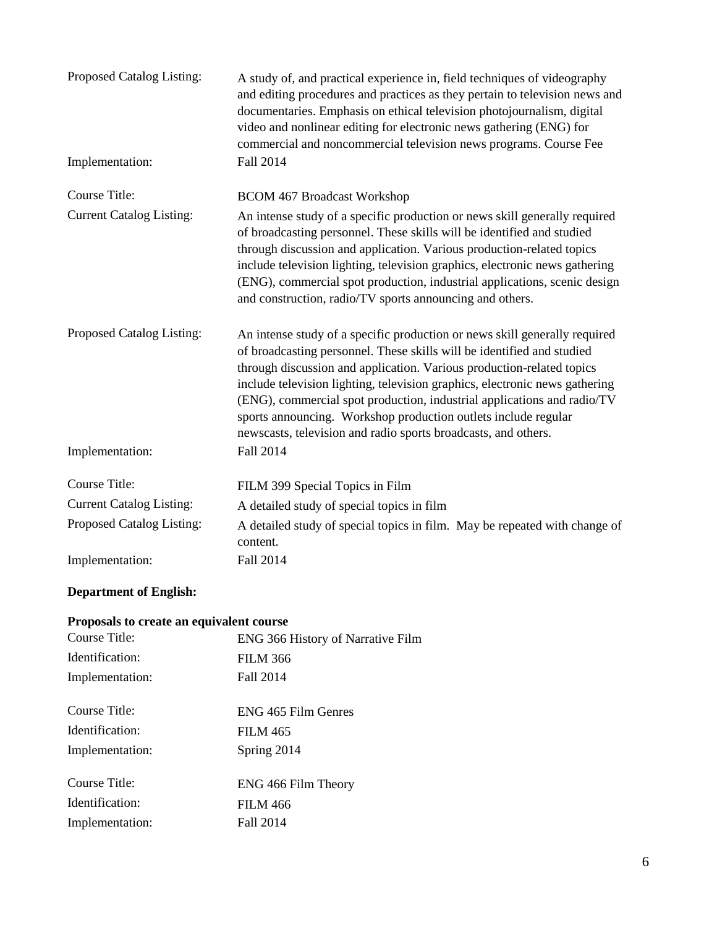| Proposed Catalog Listing:       | A study of, and practical experience in, field techniques of videography<br>and editing procedures and practices as they pertain to television news and<br>documentaries. Emphasis on ethical television photojournalism, digital<br>video and nonlinear editing for electronic news gathering (ENG) for<br>commercial and noncommercial television news programs. Course Fee                                                                                                                                               |
|---------------------------------|-----------------------------------------------------------------------------------------------------------------------------------------------------------------------------------------------------------------------------------------------------------------------------------------------------------------------------------------------------------------------------------------------------------------------------------------------------------------------------------------------------------------------------|
| Implementation:                 | Fall 2014                                                                                                                                                                                                                                                                                                                                                                                                                                                                                                                   |
| <b>Course Title:</b>            | <b>BCOM 467 Broadcast Workshop</b>                                                                                                                                                                                                                                                                                                                                                                                                                                                                                          |
| <b>Current Catalog Listing:</b> | An intense study of a specific production or news skill generally required<br>of broadcasting personnel. These skills will be identified and studied<br>through discussion and application. Various production-related topics<br>include television lighting, television graphics, electronic news gathering<br>(ENG), commercial spot production, industrial applications, scenic design<br>and construction, radio/TV sports announcing and others.                                                                       |
| Proposed Catalog Listing:       | An intense study of a specific production or news skill generally required<br>of broadcasting personnel. These skills will be identified and studied<br>through discussion and application. Various production-related topics<br>include television lighting, television graphics, electronic news gathering<br>(ENG), commercial spot production, industrial applications and radio/TV<br>sports announcing. Workshop production outlets include regular<br>newscasts, television and radio sports broadcasts, and others. |
| Implementation:                 | Fall 2014                                                                                                                                                                                                                                                                                                                                                                                                                                                                                                                   |
| <b>Course Title:</b>            | FILM 399 Special Topics in Film                                                                                                                                                                                                                                                                                                                                                                                                                                                                                             |
| <b>Current Catalog Listing:</b> | A detailed study of special topics in film                                                                                                                                                                                                                                                                                                                                                                                                                                                                                  |
| Proposed Catalog Listing:       | A detailed study of special topics in film. May be repeated with change of<br>content.                                                                                                                                                                                                                                                                                                                                                                                                                                      |
| Implementation:                 | Fall 2014                                                                                                                                                                                                                                                                                                                                                                                                                                                                                                                   |

# **Department of English:**

# **Proposals to create an equivalent course**

| Course Title:   | ENG 366 History of Narrative Film |
|-----------------|-----------------------------------|
| Identification: | <b>FILM 366</b>                   |
| Implementation: | Fall 2014                         |
|                 |                                   |
| Course Title:   | ENG 465 Film Genres               |
| Identification: | <b>FILM 465</b>                   |
| Implementation: | Spring 2014                       |
|                 |                                   |
| Course Title:   | ENG 466 Film Theory               |
| Identification: | <b>FILM 466</b>                   |
| Implementation: | Fall 2014                         |
|                 |                                   |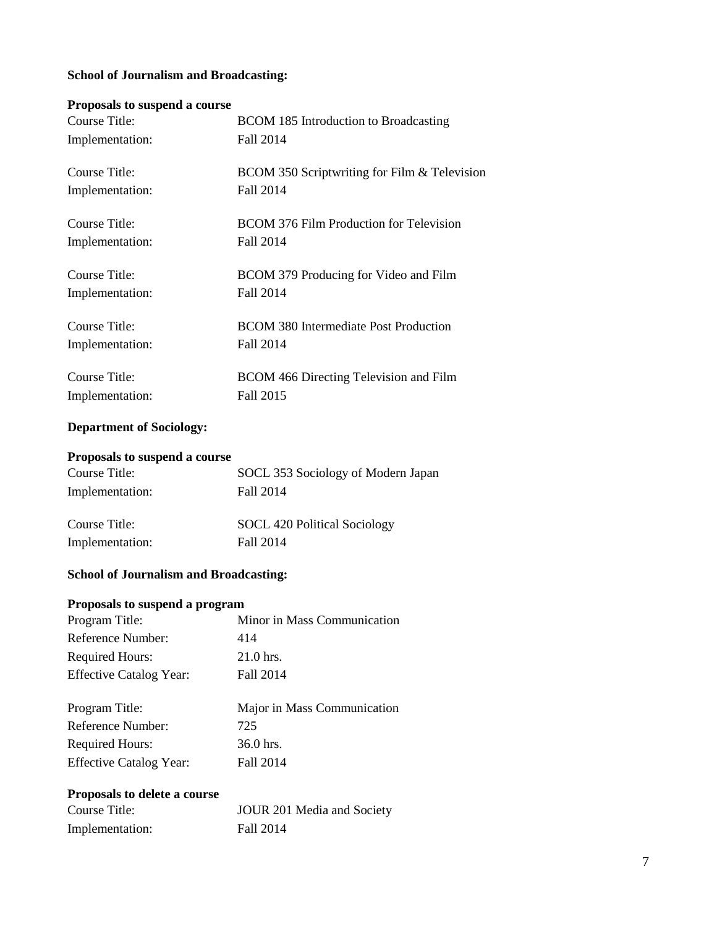# **School of Journalism and Broadcasting:**

### **Proposals to suspend a course**

| Course Title:   | <b>BCOM 185 Introduction to Broadcasting</b>  |
|-----------------|-----------------------------------------------|
| Implementation: | Fall 2014                                     |
| Course Title:   | BCOM 350 Scriptwriting for Film & Television  |
| Implementation: | Fall 2014                                     |
| Course Title:   | BCOM 376 Film Production for Television       |
| Implementation: | Fall 2014                                     |
| Course Title:   | BCOM 379 Producing for Video and Film         |
| Implementation: | Fall 2014                                     |
| Course Title:   | <b>BCOM 380 Intermediate Post Production</b>  |
| Implementation: | Fall 2014                                     |
| Course Title:   | <b>BCOM 466 Directing Television and Film</b> |
| Implementation: | Fall 2015                                     |

# **Department of Sociology:**

## **Proposals to suspend a course**

| Course Title:   | SOCL 353 Sociology of Modern Japan |
|-----------------|------------------------------------|
| Implementation: | Fall 2014                          |
| Course Title:   | SOCL 420 Political Sociology       |
| Implementation: | Fall 2014                          |

# **School of Journalism and Broadcasting:**

## **Proposals to suspend a program**

| Program Title:                 | Minor in Mass Communication |
|--------------------------------|-----------------------------|
| Reference Number:              | 414                         |
| <b>Required Hours:</b>         | 21.0 hrs.                   |
| <b>Effective Catalog Year:</b> | Fall 2014                   |
|                                |                             |
|                                |                             |
| Program Title:                 | Major in Mass Communication |
| Reference Number:              | 725                         |
| <b>Required Hours:</b>         | 36.0 hrs.                   |

# **Proposals to delete a course**

| Course Title:   | JOUR 201 Media and Society |
|-----------------|----------------------------|
| Implementation: | Fall 2014                  |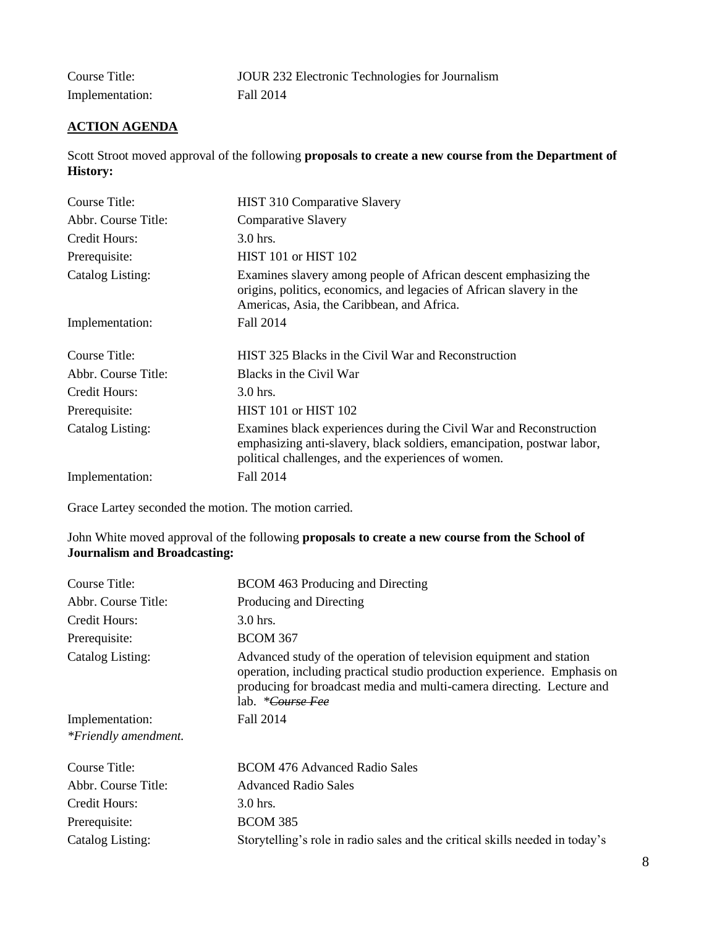| Course Title:   | JOUR 232 Electronic Technologies for Journalism |
|-----------------|-------------------------------------------------|
| Implementation: | Fall 2014                                       |

# **ACTION AGENDA**

Scott Stroot moved approval of the following **proposals to create a new course from the Department of History:**

| Course Title:       | HIST 310 Comparative Slavery                                                                                                                                                                        |
|---------------------|-----------------------------------------------------------------------------------------------------------------------------------------------------------------------------------------------------|
| Abbr. Course Title: | <b>Comparative Slavery</b>                                                                                                                                                                          |
| Credit Hours:       | $3.0$ hrs.                                                                                                                                                                                          |
| Prerequisite:       | HIST 101 or HIST 102                                                                                                                                                                                |
| Catalog Listing:    | Examines slavery among people of African descent emphasizing the<br>origins, politics, economics, and legacies of African slavery in the<br>Americas, Asia, the Caribbean, and Africa.              |
| Implementation:     | Fall 2014                                                                                                                                                                                           |
| Course Title:       | HIST 325 Blacks in the Civil War and Reconstruction                                                                                                                                                 |
| Abbr. Course Title: | Blacks in the Civil War                                                                                                                                                                             |
| Credit Hours:       | $3.0$ hrs.                                                                                                                                                                                          |
| Prerequisite:       | HIST 101 or HIST 102                                                                                                                                                                                |
| Catalog Listing:    | Examines black experiences during the Civil War and Reconstruction<br>emphasizing anti-slavery, black soldiers, emancipation, postwar labor,<br>political challenges, and the experiences of women. |
| Implementation:     | Fall 2014                                                                                                                                                                                           |

Grace Lartey seconded the motion. The motion carried.

### John White moved approval of the following **proposals to create a new course from the School of Journalism and Broadcasting:**

| Course Title:        | <b>BCOM 463 Producing and Directing</b>                                                                                                                                                                                                                        |
|----------------------|----------------------------------------------------------------------------------------------------------------------------------------------------------------------------------------------------------------------------------------------------------------|
| Abbr. Course Title:  | Producing and Directing                                                                                                                                                                                                                                        |
| Credit Hours:        | 3.0 hrs.                                                                                                                                                                                                                                                       |
| Prerequisite:        | <b>BCOM 367</b>                                                                                                                                                                                                                                                |
| Catalog Listing:     | Advanced study of the operation of television equipment and station<br>operation, including practical studio production experience. Emphasis on<br>producing for broadcast media and multi-camera directing. Lecture and<br>lab. <i>*<del>Course Fee</del></i> |
| Implementation:      | Fall 2014                                                                                                                                                                                                                                                      |
| *Friendly amendment. |                                                                                                                                                                                                                                                                |
| Course Title:        | BCOM 476 Advanced Radio Sales                                                                                                                                                                                                                                  |
| Abbr. Course Title:  | <b>Advanced Radio Sales</b>                                                                                                                                                                                                                                    |
| Credit Hours:        | 3.0 hrs.                                                                                                                                                                                                                                                       |
| Prerequisite:        | <b>BCOM 385</b>                                                                                                                                                                                                                                                |
| Catalog Listing:     | Storytelling's role in radio sales and the critical skills needed in today's                                                                                                                                                                                   |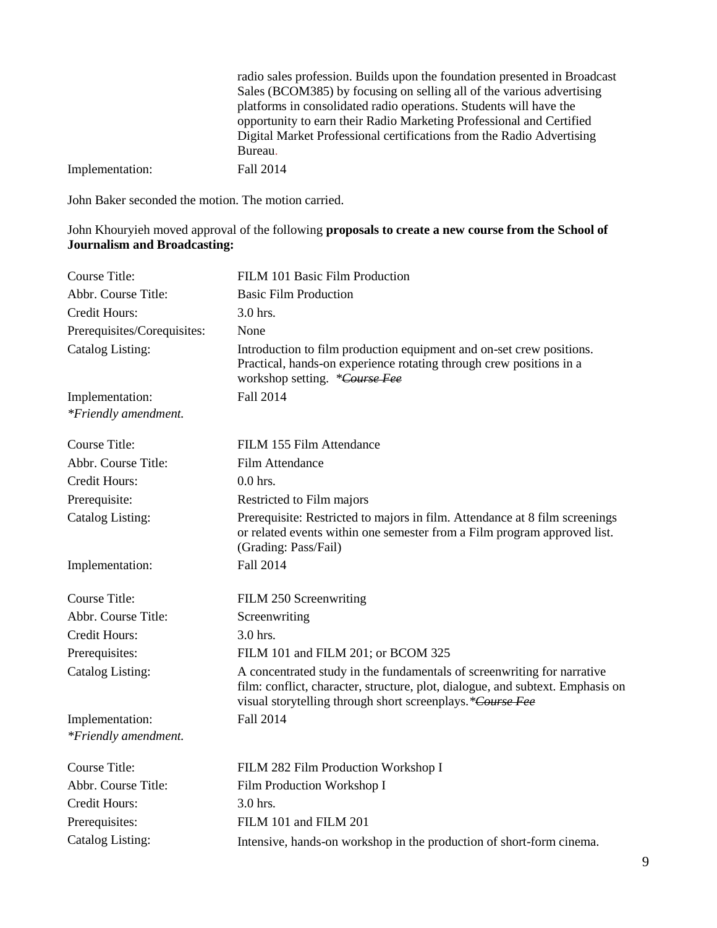|                 | radio sales profession. Builds upon the foundation presented in Broadcast |
|-----------------|---------------------------------------------------------------------------|
|                 | Sales (BCOM385) by focusing on selling all of the various advertising     |
|                 | platforms in consolidated radio operations. Students will have the        |
|                 | opportunity to earn their Radio Marketing Professional and Certified      |
|                 | Digital Market Professional certifications from the Radio Advertising     |
|                 | Bureau.                                                                   |
| Implementation: | Fall 2014                                                                 |
|                 |                                                                           |

# John Khouryieh moved approval of the following **proposals to create a new course from the School of Journalism and Broadcasting:**

| <b>Course Title:</b>        | FILM 101 Basic Film Production                                                                                                                                                                                         |
|-----------------------------|------------------------------------------------------------------------------------------------------------------------------------------------------------------------------------------------------------------------|
| Abbr. Course Title:         | <b>Basic Film Production</b>                                                                                                                                                                                           |
| Credit Hours:               | 3.0 hrs.                                                                                                                                                                                                               |
| Prerequisites/Corequisites: | None                                                                                                                                                                                                                   |
| Catalog Listing:            | Introduction to film production equipment and on-set crew positions.<br>Practical, hands-on experience rotating through crew positions in a<br>workshop setting. *Course Fee                                           |
| Implementation:             | <b>Fall 2014</b>                                                                                                                                                                                                       |
| *Friendly amendment.        |                                                                                                                                                                                                                        |
| <b>Course Title:</b>        | FILM 155 Film Attendance                                                                                                                                                                                               |
| Abbr. Course Title:         | Film Attendance                                                                                                                                                                                                        |
| <b>Credit Hours:</b>        | $0.0$ hrs.                                                                                                                                                                                                             |
| Prerequisite:               | Restricted to Film majors                                                                                                                                                                                              |
| <b>Catalog Listing:</b>     | Prerequisite: Restricted to majors in film. Attendance at 8 film screenings<br>or related events within one semester from a Film program approved list.<br>(Grading: Pass/Fail)                                        |
| Implementation:             | Fall 2014                                                                                                                                                                                                              |
| <b>Course Title:</b>        | FILM 250 Screenwriting                                                                                                                                                                                                 |
| Abbr. Course Title:         | Screenwriting                                                                                                                                                                                                          |
| <b>Credit Hours:</b>        | 3.0 hrs.                                                                                                                                                                                                               |
| Prerequisites:              | FILM 101 and FILM 201; or BCOM 325                                                                                                                                                                                     |
| <b>Catalog Listing:</b>     | A concentrated study in the fundamentals of screenwriting for narrative<br>film: conflict, character, structure, plot, dialogue, and subtext. Emphasis on<br>visual storytelling through short screenplays.*Course Fee |
| Implementation:             | Fall 2014                                                                                                                                                                                                              |
| *Friendly amendment.        |                                                                                                                                                                                                                        |
| <b>Course Title:</b>        | FILM 282 Film Production Workshop I                                                                                                                                                                                    |
| Abbr. Course Title:         | Film Production Workshop I                                                                                                                                                                                             |
| <b>Credit Hours:</b>        | $3.0$ hrs.                                                                                                                                                                                                             |
| Prerequisites:              | FILM 101 and FILM 201                                                                                                                                                                                                  |
| Catalog Listing:            | Intensive, hands-on workshop in the production of short-form cinema.                                                                                                                                                   |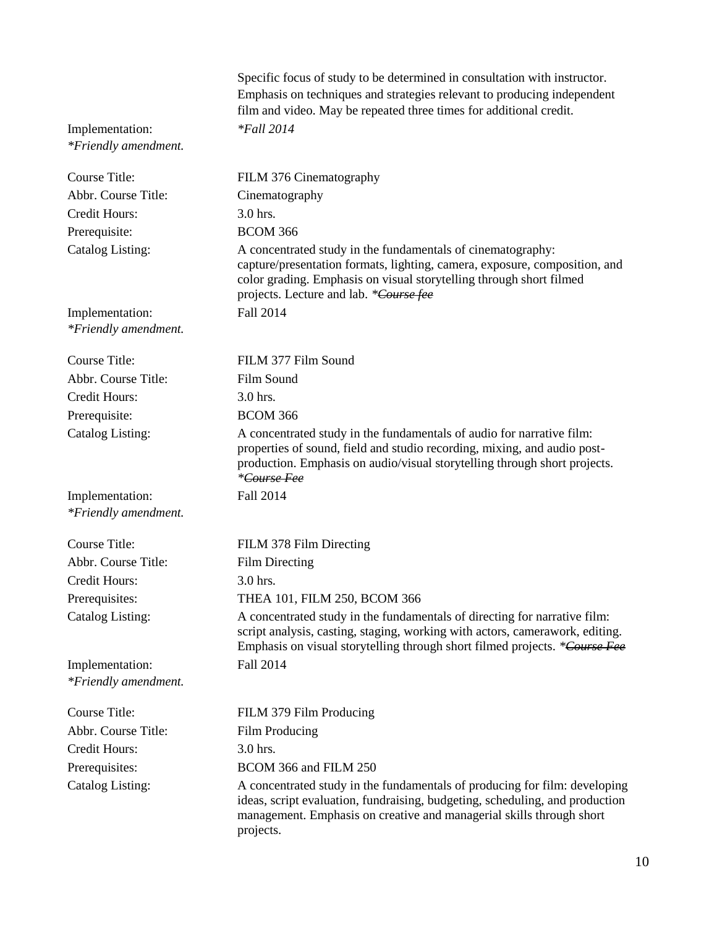|                                         | Specific focus of study to be determined in consultation with instructor.<br>Emphasis on techniques and strategies relevant to producing independent<br>film and video. May be repeated three times for additional credit.                                 |
|-----------------------------------------|------------------------------------------------------------------------------------------------------------------------------------------------------------------------------------------------------------------------------------------------------------|
| Implementation:<br>*Friendly amendment. | <i>*Fall</i> 2014                                                                                                                                                                                                                                          |
| Course Title:                           | FILM 376 Cinematography                                                                                                                                                                                                                                    |
| Abbr. Course Title:                     | Cinematography                                                                                                                                                                                                                                             |
| <b>Credit Hours:</b>                    | 3.0 hrs.                                                                                                                                                                                                                                                   |
| Prerequisite:                           | <b>BCOM 366</b>                                                                                                                                                                                                                                            |
| Catalog Listing:                        | A concentrated study in the fundamentals of cinematography:<br>capture/presentation formats, lighting, camera, exposure, composition, and<br>color grading. Emphasis on visual storytelling through short filmed<br>projects. Lecture and lab. *Course fee |
| Implementation:<br>*Friendly amendment. | Fall 2014                                                                                                                                                                                                                                                  |
| Course Title:                           | FILM 377 Film Sound                                                                                                                                                                                                                                        |
| Abbr. Course Title:                     | Film Sound                                                                                                                                                                                                                                                 |
| <b>Credit Hours:</b>                    | 3.0 hrs.                                                                                                                                                                                                                                                   |
| Prerequisite:                           | <b>BCOM 366</b>                                                                                                                                                                                                                                            |
| Catalog Listing:                        | A concentrated study in the fundamentals of audio for narrative film:<br>properties of sound, field and studio recording, mixing, and audio post-<br>production. Emphasis on audio/visual storytelling through short projects.<br>*Course Fee              |
| Implementation:<br>*Friendly amendment. | Fall 2014                                                                                                                                                                                                                                                  |
| <b>Course Title:</b>                    | FILM 378 Film Directing                                                                                                                                                                                                                                    |
| Abbr. Course Title:                     | Film Directing                                                                                                                                                                                                                                             |
| Credit Hours:                           | 3.0 hrs.                                                                                                                                                                                                                                                   |
| Prerequisites:                          | THEA 101, FILM 250, BCOM 366                                                                                                                                                                                                                               |
| Catalog Listing:                        | A concentrated study in the fundamentals of directing for narrative film:<br>script analysis, casting, staging, working with actors, camerawork, editing.<br>Emphasis on visual storytelling through short filmed projects. *Course Fee                    |
| Implementation:<br>*Friendly amendment. | Fall 2014                                                                                                                                                                                                                                                  |
| Course Title:                           | FILM 379 Film Producing                                                                                                                                                                                                                                    |
| Abbr. Course Title:                     | Film Producing                                                                                                                                                                                                                                             |
| Credit Hours:                           | 3.0 hrs.                                                                                                                                                                                                                                                   |
| Prerequisites:                          | BCOM 366 and FILM 250                                                                                                                                                                                                                                      |
| <b>Catalog Listing:</b>                 | A concentrated study in the fundamentals of producing for film: developing<br>ideas, script evaluation, fundraising, budgeting, scheduling, and production<br>management. Emphasis on creative and managerial skills through short<br>projects.            |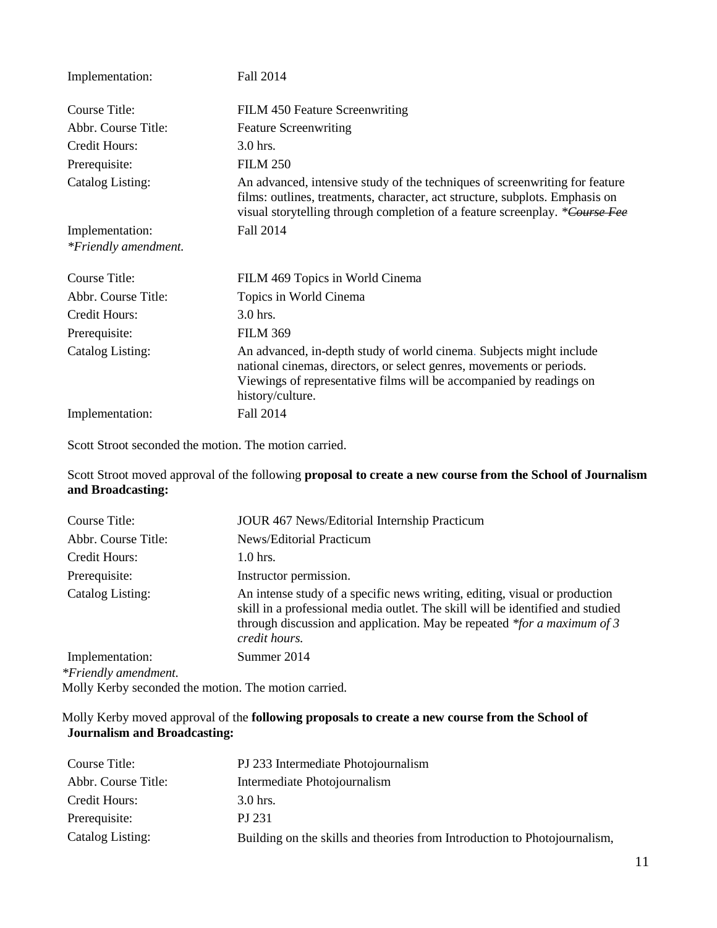| Implementation:         | Fall 2014                                                                                                                                                                                                                                  |
|-------------------------|--------------------------------------------------------------------------------------------------------------------------------------------------------------------------------------------------------------------------------------------|
| Course Title:           | FILM 450 Feature Screenwriting                                                                                                                                                                                                             |
| Abbr. Course Title:     | <b>Feature Screenwriting</b>                                                                                                                                                                                                               |
| Credit Hours:           | 3.0 hrs.                                                                                                                                                                                                                                   |
| Prerequisite:           | <b>FILM 250</b>                                                                                                                                                                                                                            |
| <b>Catalog Listing:</b> | An advanced, intensive study of the techniques of screenwriting for feature<br>films: outlines, treatments, character, act structure, subplots. Emphasis on<br>visual storytelling through completion of a feature screenplay. *Course Fee |
| Implementation:         | Fall 2014                                                                                                                                                                                                                                  |
| *Friendly amendment.    |                                                                                                                                                                                                                                            |
| Course Title:           | FILM 469 Topics in World Cinema                                                                                                                                                                                                            |
| Abbr. Course Title:     | Topics in World Cinema                                                                                                                                                                                                                     |
| Credit Hours:           | $3.0$ hrs.                                                                                                                                                                                                                                 |
| Prerequisite:           | <b>FILM 369</b>                                                                                                                                                                                                                            |
| Catalog Listing:        | An advanced, in-depth study of world cinema. Subjects might include<br>national cinemas, directors, or select genres, movements or periods.<br>Viewings of representative films will be accompanied by readings on<br>history/culture.     |
| Implementation:         | Fall 2014                                                                                                                                                                                                                                  |

Scott Stroot seconded the motion. The motion carried.

Scott Stroot moved approval of the following **proposal to create a new course from the School of Journalism and Broadcasting:**

| Course Title:        | JOUR 467 News/Editorial Internship Practicum                                                                                                                                                                                                                |
|----------------------|-------------------------------------------------------------------------------------------------------------------------------------------------------------------------------------------------------------------------------------------------------------|
| Abbr. Course Title:  | News/Editorial Practicum                                                                                                                                                                                                                                    |
| Credit Hours:        | $1.0$ hrs.                                                                                                                                                                                                                                                  |
| Prerequisite:        | Instructor permission.                                                                                                                                                                                                                                      |
| Catalog Listing:     | An intense study of a specific news writing, editing, visual or production<br>skill in a professional media outlet. The skill will be identified and studied<br>through discussion and application. May be repeated $*$ for a maximum of 3<br>credit hours. |
| Implementation:      | Summer 2014                                                                                                                                                                                                                                                 |
| *Friendly amendment. |                                                                                                                                                                                                                                                             |

Molly Kerby seconded the motion. The motion carried.

# Molly Kerby moved approval of the **following proposals to create a new course from the School of Journalism and Broadcasting:**

| Course Title:       | PJ 233 Intermediate Photojournalism                                       |
|---------------------|---------------------------------------------------------------------------|
| Abbr. Course Title: | Intermediate Photojournalism                                              |
| Credit Hours:       | $3.0$ hrs.                                                                |
| Prerequisite:       | PJ 231                                                                    |
| Catalog Listing:    | Building on the skills and theories from Introduction to Photojournalism, |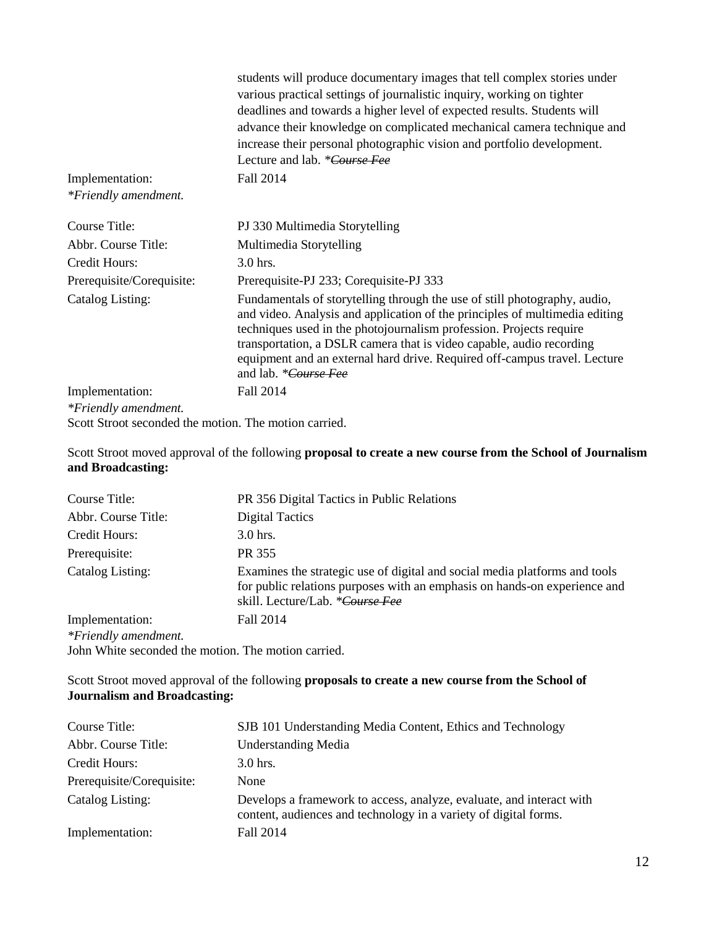|                           | students will produce documentary images that tell complex stories under<br>various practical settings of journalistic inquiry, working on tighter<br>deadlines and towards a higher level of expected results. Students will                                                                                                                                                                                |
|---------------------------|--------------------------------------------------------------------------------------------------------------------------------------------------------------------------------------------------------------------------------------------------------------------------------------------------------------------------------------------------------------------------------------------------------------|
|                           | advance their knowledge on complicated mechanical camera technique and<br>increase their personal photographic vision and portfolio development.                                                                                                                                                                                                                                                             |
|                           | Lecture and lab. *Course Fee                                                                                                                                                                                                                                                                                                                                                                                 |
| Implementation:           | Fall 2014                                                                                                                                                                                                                                                                                                                                                                                                    |
| *Friendly amendment.      |                                                                                                                                                                                                                                                                                                                                                                                                              |
| Course Title:             | PJ 330 Multimedia Storytelling                                                                                                                                                                                                                                                                                                                                                                               |
| Abbr. Course Title:       | Multimedia Storytelling                                                                                                                                                                                                                                                                                                                                                                                      |
| Credit Hours:             | 3.0 hrs.                                                                                                                                                                                                                                                                                                                                                                                                     |
| Prerequisite/Corequisite: | Prerequisite-PJ 233; Corequisite-PJ 333                                                                                                                                                                                                                                                                                                                                                                      |
| Catalog Listing:          | Fundamentals of storytelling through the use of still photography, audio,<br>and video. Analysis and application of the principles of multimedia editing<br>techniques used in the photojournalism profession. Projects require<br>transportation, a DSLR camera that is video capable, audio recording<br>equipment and an external hard drive. Required off-campus travel. Lecture<br>and lab. *Course Fee |
| Implementation:           | Fall 2014                                                                                                                                                                                                                                                                                                                                                                                                    |
| *Friendly amendment.      |                                                                                                                                                                                                                                                                                                                                                                                                              |

Scott Stroot seconded the motion. The motion carried.

### Scott Stroot moved approval of the following **proposal to create a new course from the School of Journalism and Broadcasting:**

| Course Title:                                       | PR 356 Digital Tactics in Public Relations                                                                                                                                                 |
|-----------------------------------------------------|--------------------------------------------------------------------------------------------------------------------------------------------------------------------------------------------|
| Abbr. Course Title:                                 | <b>Digital Tactics</b>                                                                                                                                                                     |
| Credit Hours:                                       | $3.0$ hrs.                                                                                                                                                                                 |
| Prerequisite:                                       | PR 355                                                                                                                                                                                     |
| Catalog Listing:                                    | Examines the strategic use of digital and social media platforms and tools<br>for public relations purposes with an emphasis on hands-on experience and<br>skill. Lecture/Lab. *Course Fee |
| Implementation:                                     | Fall 2014                                                                                                                                                                                  |
| *Friendly amendment.                                |                                                                                                                                                                                            |
| John White seconded the motion. The motion carried. |                                                                                                                                                                                            |

Scott Stroot moved approval of the following **proposals to create a new course from the School of Journalism and Broadcasting:**

| Course Title:             | SJB 101 Understanding Media Content, Ethics and Technology                                                                               |
|---------------------------|------------------------------------------------------------------------------------------------------------------------------------------|
| Abbr. Course Title:       | <b>Understanding Media</b>                                                                                                               |
| Credit Hours:             | $3.0$ hrs.                                                                                                                               |
| Prerequisite/Corequisite: | None                                                                                                                                     |
| Catalog Listing:          | Develops a framework to access, analyze, evaluate, and interact with<br>content, audiences and technology in a variety of digital forms. |
| Implementation:           | Fall 2014                                                                                                                                |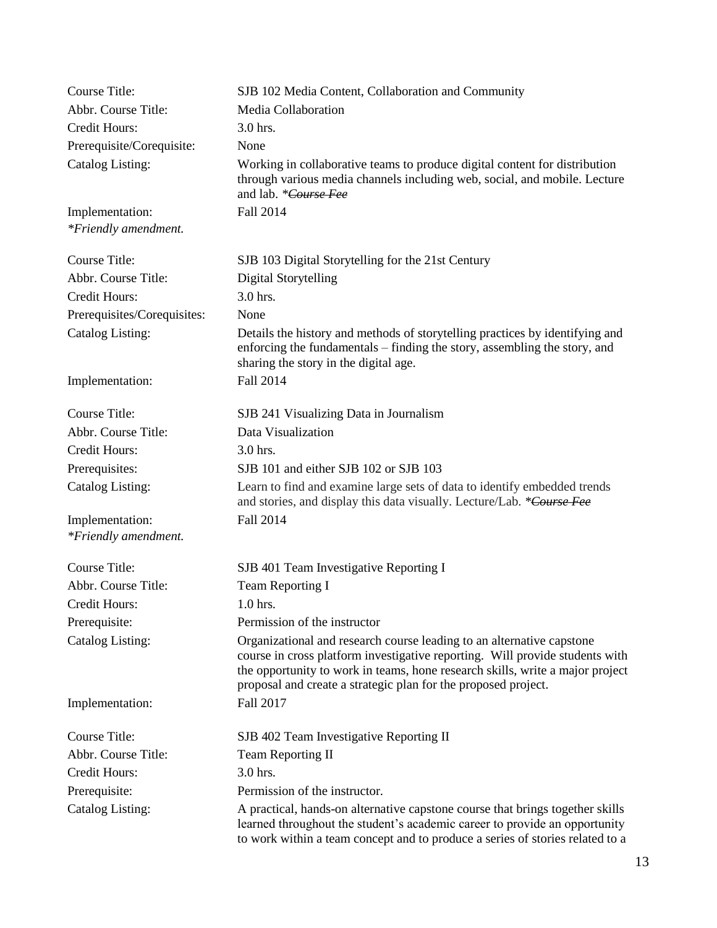| <b>Course Title:</b>                    | SJB 102 Media Content, Collaboration and Community                                                                                                                                                                                                                                                       |
|-----------------------------------------|----------------------------------------------------------------------------------------------------------------------------------------------------------------------------------------------------------------------------------------------------------------------------------------------------------|
| Abbr. Course Title:                     | Media Collaboration                                                                                                                                                                                                                                                                                      |
| Credit Hours:                           | 3.0 hrs.                                                                                                                                                                                                                                                                                                 |
| Prerequisite/Corequisite:               | None                                                                                                                                                                                                                                                                                                     |
| <b>Catalog Listing:</b>                 | Working in collaborative teams to produce digital content for distribution<br>through various media channels including web, social, and mobile. Lecture<br>and lab. *Course Fee                                                                                                                          |
| Implementation:                         | Fall 2014                                                                                                                                                                                                                                                                                                |
| *Friendly amendment.                    |                                                                                                                                                                                                                                                                                                          |
| <b>Course Title:</b>                    | SJB 103 Digital Storytelling for the 21st Century                                                                                                                                                                                                                                                        |
| Abbr. Course Title:                     | <b>Digital Storytelling</b>                                                                                                                                                                                                                                                                              |
| Credit Hours:                           | 3.0 hrs.                                                                                                                                                                                                                                                                                                 |
| Prerequisites/Corequisites:             | None                                                                                                                                                                                                                                                                                                     |
| <b>Catalog Listing:</b>                 | Details the history and methods of storytelling practices by identifying and<br>enforcing the fundamentals – finding the story, assembling the story, and<br>sharing the story in the digital age.                                                                                                       |
| Implementation:                         | Fall 2014                                                                                                                                                                                                                                                                                                |
| <b>Course Title:</b>                    | SJB 241 Visualizing Data in Journalism                                                                                                                                                                                                                                                                   |
| Abbr. Course Title:                     | Data Visualization                                                                                                                                                                                                                                                                                       |
| Credit Hours:                           | 3.0 hrs.                                                                                                                                                                                                                                                                                                 |
| Prerequisites:                          | SJB 101 and either SJB 102 or SJB 103                                                                                                                                                                                                                                                                    |
| Catalog Listing:                        | Learn to find and examine large sets of data to identify embedded trends<br>and stories, and display this data visually. Lecture/Lab. *Course Fee                                                                                                                                                        |
| Implementation:<br>*Friendly amendment. | Fall 2014                                                                                                                                                                                                                                                                                                |
| <b>Course Title:</b>                    | SJB 401 Team Investigative Reporting I                                                                                                                                                                                                                                                                   |
| Abbr. Course Title:                     | <b>Team Reporting I</b>                                                                                                                                                                                                                                                                                  |
| Credit Hours:                           | $1.0$ hrs.                                                                                                                                                                                                                                                                                               |
| Prerequisite:                           | Permission of the instructor                                                                                                                                                                                                                                                                             |
| <b>Catalog Listing:</b>                 | Organizational and research course leading to an alternative capstone<br>course in cross platform investigative reporting. Will provide students with<br>the opportunity to work in teams, hone research skills, write a major project<br>proposal and create a strategic plan for the proposed project. |
| Implementation:                         | Fall 2017                                                                                                                                                                                                                                                                                                |
| Course Title:                           | SJB 402 Team Investigative Reporting II                                                                                                                                                                                                                                                                  |
| Abbr. Course Title:                     | Team Reporting II                                                                                                                                                                                                                                                                                        |
| Credit Hours:                           | 3.0 hrs.                                                                                                                                                                                                                                                                                                 |
| Prerequisite:                           | Permission of the instructor.                                                                                                                                                                                                                                                                            |
| Catalog Listing:                        | A practical, hands-on alternative capstone course that brings together skills<br>learned throughout the student's academic career to provide an opportunity<br>to work within a team concept and to produce a series of stories related to a                                                             |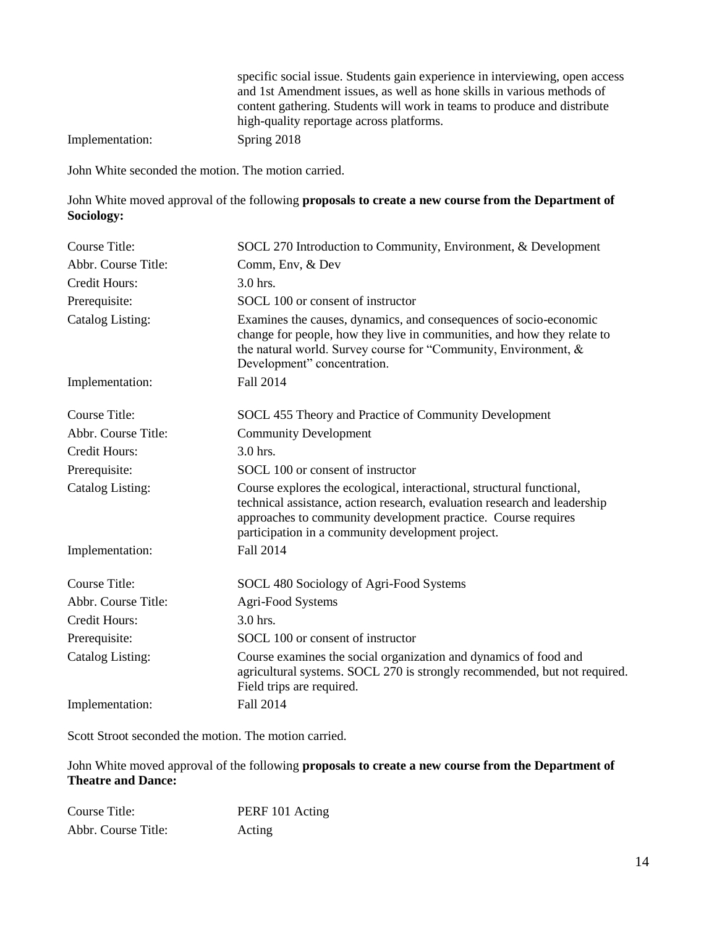specific social issue. Students gain experience in interviewing, open access and 1st Amendment issues, as well as hone skills in various methods of content gathering. Students will work in teams to produce and distribute high-quality reportage across platforms.

Implementation: Spring 2018

John White seconded the motion. The motion carried.

John White moved approval of the following **proposals to create a new course from the Department of Sociology:**

| <b>Course Title:</b> | SOCL 270 Introduction to Community, Environment, & Development                                                                                                                                                                                                           |
|----------------------|--------------------------------------------------------------------------------------------------------------------------------------------------------------------------------------------------------------------------------------------------------------------------|
| Abbr. Course Title:  | Comm, Env, & Dev                                                                                                                                                                                                                                                         |
| Credit Hours:        | 3.0 hrs.                                                                                                                                                                                                                                                                 |
| Prerequisite:        | SOCL 100 or consent of instructor                                                                                                                                                                                                                                        |
| Catalog Listing:     | Examines the causes, dynamics, and consequences of socio-economic<br>change for people, how they live in communities, and how they relate to<br>the natural world. Survey course for "Community, Environment, &<br>Development" concentration.                           |
| Implementation:      | Fall 2014                                                                                                                                                                                                                                                                |
| Course Title:        | SOCL 455 Theory and Practice of Community Development                                                                                                                                                                                                                    |
| Abbr. Course Title:  | <b>Community Development</b>                                                                                                                                                                                                                                             |
| <b>Credit Hours:</b> | 3.0 hrs.                                                                                                                                                                                                                                                                 |
| Prerequisite:        | SOCL 100 or consent of instructor                                                                                                                                                                                                                                        |
| Catalog Listing:     | Course explores the ecological, interactional, structural functional,<br>technical assistance, action research, evaluation research and leadership<br>approaches to community development practice. Course requires<br>participation in a community development project. |
| Implementation:      | <b>Fall 2014</b>                                                                                                                                                                                                                                                         |
| Course Title:        | SOCL 480 Sociology of Agri-Food Systems                                                                                                                                                                                                                                  |
| Abbr. Course Title:  | Agri-Food Systems                                                                                                                                                                                                                                                        |
| <b>Credit Hours:</b> | 3.0 hrs.                                                                                                                                                                                                                                                                 |
| Prerequisite:        | SOCL 100 or consent of instructor                                                                                                                                                                                                                                        |
| Catalog Listing:     | Course examines the social organization and dynamics of food and<br>agricultural systems. SOCL 270 is strongly recommended, but not required.<br>Field trips are required.                                                                                               |
| Implementation:      | Fall 2014                                                                                                                                                                                                                                                                |

Scott Stroot seconded the motion. The motion carried.

John White moved approval of the following **proposals to create a new course from the Department of Theatre and Dance:**

| Course Title:       | PERF 101 Acting |
|---------------------|-----------------|
| Abbr. Course Title: | Acting          |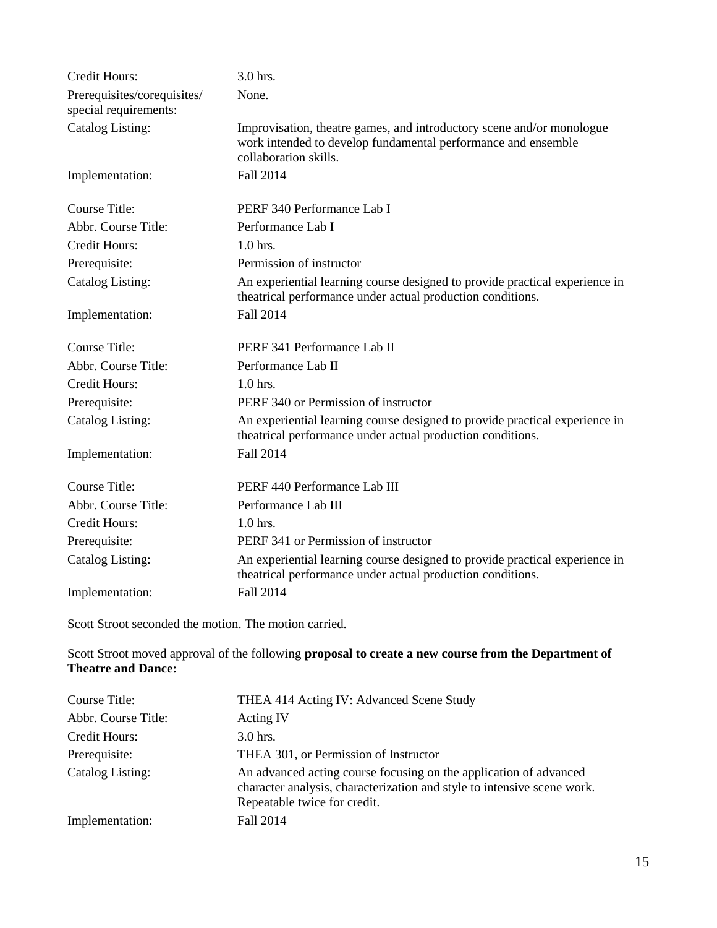| <b>Credit Hours:</b>                                 | 3.0 hrs.                                                                                                                                                        |
|------------------------------------------------------|-----------------------------------------------------------------------------------------------------------------------------------------------------------------|
| Prerequisites/corequisites/<br>special requirements: | None.                                                                                                                                                           |
| <b>Catalog Listing:</b>                              | Improvisation, theatre games, and introductory scene and/or monologue<br>work intended to develop fundamental performance and ensemble<br>collaboration skills. |
| Implementation:                                      | Fall 2014                                                                                                                                                       |
| Course Title:                                        | PERF 340 Performance Lab I                                                                                                                                      |
| Abbr. Course Title:                                  | Performance Lab I                                                                                                                                               |
| <b>Credit Hours:</b>                                 | $1.0$ hrs.                                                                                                                                                      |
| Prerequisite:                                        | Permission of instructor                                                                                                                                        |
| <b>Catalog Listing:</b>                              | An experiential learning course designed to provide practical experience in<br>theatrical performance under actual production conditions.                       |
| Implementation:                                      | Fall 2014                                                                                                                                                       |
| <b>Course Title:</b>                                 | PERF 341 Performance Lab II                                                                                                                                     |
| Abbr. Course Title:                                  | Performance Lab II                                                                                                                                              |
| <b>Credit Hours:</b>                                 | $1.0$ hrs.                                                                                                                                                      |
| Prerequisite:                                        | PERF 340 or Permission of instructor                                                                                                                            |
| Catalog Listing:                                     | An experiential learning course designed to provide practical experience in<br>theatrical performance under actual production conditions.                       |
| Implementation:                                      | Fall 2014                                                                                                                                                       |
| Course Title:                                        | PERF 440 Performance Lab III                                                                                                                                    |
| Abbr. Course Title:                                  | Performance Lab III                                                                                                                                             |
| <b>Credit Hours:</b>                                 | $1.0$ hrs.                                                                                                                                                      |
| Prerequisite:                                        | PERF 341 or Permission of instructor                                                                                                                            |
| Catalog Listing:                                     | An experiential learning course designed to provide practical experience in<br>theatrical performance under actual production conditions.                       |
| Implementation:                                      | Fall 2014                                                                                                                                                       |

Scott Stroot seconded the motion. The motion carried.

Scott Stroot moved approval of the following **proposal to create a new course from the Department of Theatre and Dance:**

| Course Title:       | THEA 414 Acting IV: Advanced Scene Study                                                                                                                                     |
|---------------------|------------------------------------------------------------------------------------------------------------------------------------------------------------------------------|
| Abbr. Course Title: | Acting IV                                                                                                                                                                    |
| Credit Hours:       | $3.0$ hrs.                                                                                                                                                                   |
| Prerequisite:       | THEA 301, or Permission of Instructor                                                                                                                                        |
| Catalog Listing:    | An advanced acting course focusing on the application of advanced<br>character analysis, characterization and style to intensive scene work.<br>Repeatable twice for credit. |
| Implementation:     | Fall 2014                                                                                                                                                                    |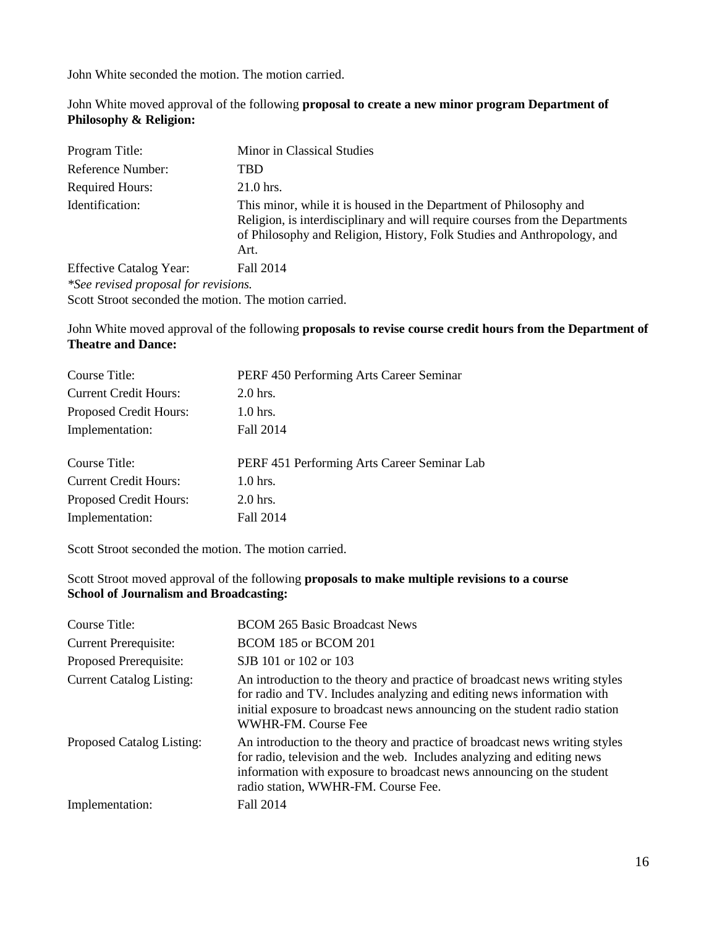John White moved approval of the following **proposal to create a new minor program Department of Philosophy & Religion:**

| Program Title:                                        | Minor in Classical Studies                                                                                                                                                                                                            |
|-------------------------------------------------------|---------------------------------------------------------------------------------------------------------------------------------------------------------------------------------------------------------------------------------------|
| Reference Number:                                     | TBD                                                                                                                                                                                                                                   |
| <b>Required Hours:</b>                                | $21.0$ hrs.                                                                                                                                                                                                                           |
| Identification:                                       | This minor, while it is housed in the Department of Philosophy and<br>Religion, is interdisciplinary and will require courses from the Departments<br>of Philosophy and Religion, History, Folk Studies and Anthropology, and<br>Art. |
| <b>Effective Catalog Year:</b>                        | Fall 2014                                                                                                                                                                                                                             |
| *See revised proposal for revisions.                  |                                                                                                                                                                                                                                       |
| Scott Stroot seconded the motion. The motion carried. |                                                                                                                                                                                                                                       |

John White moved approval of the following **proposals to revise course credit hours from the Department of Theatre and Dance:**

| Course Title:                 | PERF 450 Performing Arts Career Seminar     |
|-------------------------------|---------------------------------------------|
| <b>Current Credit Hours:</b>  | $2.0$ hrs.                                  |
| <b>Proposed Credit Hours:</b> | $1.0$ hrs.                                  |
| Implementation:               | Fall 2014                                   |
| Course Title:                 | PERF 451 Performing Arts Career Seminar Lab |
| <b>Current Credit Hours:</b>  | $1.0$ hrs.                                  |
| Proposed Credit Hours:        | $2.0$ hrs.                                  |
| Implementation:               | Fall 2014                                   |
|                               |                                             |

Scott Stroot seconded the motion. The motion carried.

Scott Stroot moved approval of the following **proposals to make multiple revisions to a course School of Journalism and Broadcasting:**

| Course Title:                   | <b>BCOM 265 Basic Broadcast News</b>                                                                                                                                                                                                                                  |
|---------------------------------|-----------------------------------------------------------------------------------------------------------------------------------------------------------------------------------------------------------------------------------------------------------------------|
| <b>Current Prerequisite:</b>    | BCOM 185 or BCOM 201                                                                                                                                                                                                                                                  |
| Proposed Prerequisite:          | SJB 101 or 102 or 103                                                                                                                                                                                                                                                 |
| <b>Current Catalog Listing:</b> | An introduction to the theory and practice of broadcast news writing styles<br>for radio and TV. Includes analyzing and editing news information with<br>initial exposure to broadcast news announcing on the student radio station<br>WWHR-FM. Course Fee            |
| Proposed Catalog Listing:       | An introduction to the theory and practice of broadcast news writing styles<br>for radio, television and the web. Includes analyzing and editing news<br>information with exposure to broadcast news announcing on the student<br>radio station, WWHR-FM. Course Fee. |
| Implementation:                 | Fall 2014                                                                                                                                                                                                                                                             |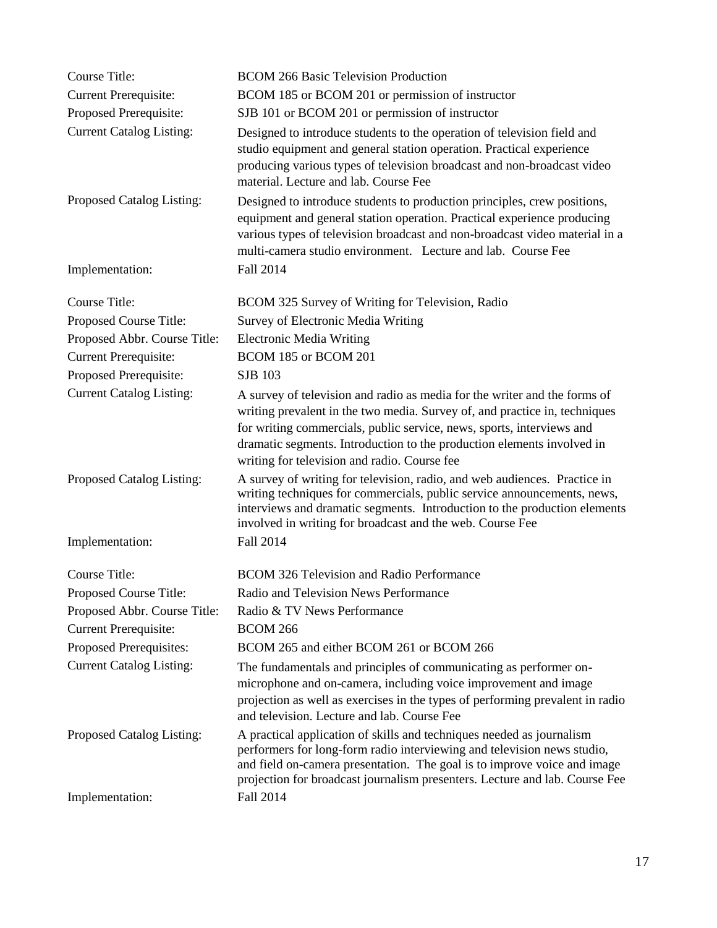| <b>Course Title:</b>            | <b>BCOM 266 Basic Television Production</b>                                                                                                                                                                                                                                                                                                                |
|---------------------------------|------------------------------------------------------------------------------------------------------------------------------------------------------------------------------------------------------------------------------------------------------------------------------------------------------------------------------------------------------------|
| <b>Current Prerequisite:</b>    | BCOM 185 or BCOM 201 or permission of instructor                                                                                                                                                                                                                                                                                                           |
| Proposed Prerequisite:          | SJB 101 or BCOM 201 or permission of instructor                                                                                                                                                                                                                                                                                                            |
| <b>Current Catalog Listing:</b> | Designed to introduce students to the operation of television field and<br>studio equipment and general station operation. Practical experience<br>producing various types of television broadcast and non-broadcast video<br>material. Lecture and lab. Course Fee                                                                                        |
| Proposed Catalog Listing:       | Designed to introduce students to production principles, crew positions,<br>equipment and general station operation. Practical experience producing<br>various types of television broadcast and non-broadcast video material in a<br>multi-camera studio environment. Lecture and lab. Course Fee                                                         |
| Implementation:                 | Fall 2014                                                                                                                                                                                                                                                                                                                                                  |
| Course Title:                   | BCOM 325 Survey of Writing for Television, Radio                                                                                                                                                                                                                                                                                                           |
| Proposed Course Title:          | Survey of Electronic Media Writing                                                                                                                                                                                                                                                                                                                         |
| Proposed Abbr. Course Title:    | <b>Electronic Media Writing</b>                                                                                                                                                                                                                                                                                                                            |
| <b>Current Prerequisite:</b>    | BCOM 185 or BCOM 201                                                                                                                                                                                                                                                                                                                                       |
| Proposed Prerequisite:          | <b>SJB 103</b>                                                                                                                                                                                                                                                                                                                                             |
| <b>Current Catalog Listing:</b> | A survey of television and radio as media for the writer and the forms of<br>writing prevalent in the two media. Survey of, and practice in, techniques<br>for writing commercials, public service, news, sports, interviews and<br>dramatic segments. Introduction to the production elements involved in<br>writing for television and radio. Course fee |
| Proposed Catalog Listing:       | A survey of writing for television, radio, and web audiences. Practice in<br>writing techniques for commercials, public service announcements, news,<br>interviews and dramatic segments. Introduction to the production elements<br>involved in writing for broadcast and the web. Course Fee                                                             |
| Implementation:                 | Fall 2014                                                                                                                                                                                                                                                                                                                                                  |
| <b>Course Title:</b>            | <b>BCOM 326 Television and Radio Performance</b>                                                                                                                                                                                                                                                                                                           |
| Proposed Course Title:          | Radio and Television News Performance                                                                                                                                                                                                                                                                                                                      |
| Proposed Abbr. Course Title:    | Radio & TV News Performance                                                                                                                                                                                                                                                                                                                                |
| <b>Current Prerequisite:</b>    | <b>BCOM 266</b>                                                                                                                                                                                                                                                                                                                                            |
| Proposed Prerequisites:         | BCOM 265 and either BCOM 261 or BCOM 266                                                                                                                                                                                                                                                                                                                   |
| <b>Current Catalog Listing:</b> | The fundamentals and principles of communicating as performer on-<br>microphone and on-camera, including voice improvement and image<br>projection as well as exercises in the types of performing prevalent in radio<br>and television. Lecture and lab. Course Fee                                                                                       |
| Proposed Catalog Listing:       | A practical application of skills and techniques needed as journalism<br>performers for long-form radio interviewing and television news studio,<br>and field on-camera presentation. The goal is to improve voice and image<br>projection for broadcast journalism presenters. Lecture and lab. Course Fee                                                |
| Implementation:                 | Fall 2014                                                                                                                                                                                                                                                                                                                                                  |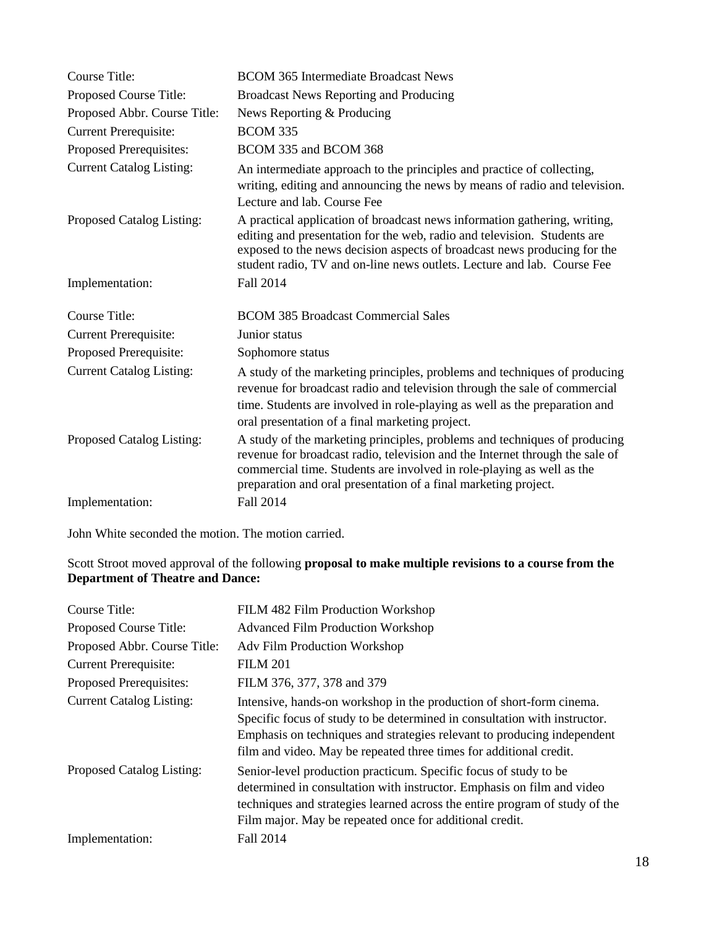| <b>Course Title:</b>            | <b>BCOM 365 Intermediate Broadcast News</b>                                                                                                                                                                                                                                                                  |
|---------------------------------|--------------------------------------------------------------------------------------------------------------------------------------------------------------------------------------------------------------------------------------------------------------------------------------------------------------|
| Proposed Course Title:          | <b>Broadcast News Reporting and Producing</b>                                                                                                                                                                                                                                                                |
| Proposed Abbr. Course Title:    | News Reporting & Producing                                                                                                                                                                                                                                                                                   |
| <b>Current Prerequisite:</b>    | <b>BCOM 335</b>                                                                                                                                                                                                                                                                                              |
| Proposed Prerequisites:         | BCOM 335 and BCOM 368                                                                                                                                                                                                                                                                                        |
| <b>Current Catalog Listing:</b> | An intermediate approach to the principles and practice of collecting,<br>writing, editing and announcing the news by means of radio and television.<br>Lecture and lab. Course Fee                                                                                                                          |
| Proposed Catalog Listing:       | A practical application of broadcast news information gathering, writing,<br>editing and presentation for the web, radio and television. Students are<br>exposed to the news decision aspects of broadcast news producing for the<br>student radio, TV and on-line news outlets. Lecture and lab. Course Fee |
| Implementation:                 | Fall 2014                                                                                                                                                                                                                                                                                                    |
| Course Title:                   | <b>BCOM 385 Broadcast Commercial Sales</b>                                                                                                                                                                                                                                                                   |
| <b>Current Prerequisite:</b>    | Junior status                                                                                                                                                                                                                                                                                                |
| Proposed Prerequisite:          | Sophomore status                                                                                                                                                                                                                                                                                             |
| <b>Current Catalog Listing:</b> | A study of the marketing principles, problems and techniques of producing<br>revenue for broadcast radio and television through the sale of commercial<br>time. Students are involved in role-playing as well as the preparation and<br>oral presentation of a final marketing project.                      |
| Proposed Catalog Listing:       | A study of the marketing principles, problems and techniques of producing<br>revenue for broadcast radio, television and the Internet through the sale of<br>commercial time. Students are involved in role-playing as well as the<br>preparation and oral presentation of a final marketing project.        |
| Implementation:                 | Fall 2014                                                                                                                                                                                                                                                                                                    |

# Scott Stroot moved approval of the following **proposal to make multiple revisions to a course from the Department of Theatre and Dance:**

| Course Title:                   | FILM 482 Film Production Workshop                                                                                                                                                                                                                                                                  |
|---------------------------------|----------------------------------------------------------------------------------------------------------------------------------------------------------------------------------------------------------------------------------------------------------------------------------------------------|
| Proposed Course Title:          | <b>Advanced Film Production Workshop</b>                                                                                                                                                                                                                                                           |
| Proposed Abbr. Course Title:    | <b>Adv Film Production Workshop</b>                                                                                                                                                                                                                                                                |
| <b>Current Prerequisite:</b>    | <b>FILM 201</b>                                                                                                                                                                                                                                                                                    |
| Proposed Prerequisites:         | FILM 376, 377, 378 and 379                                                                                                                                                                                                                                                                         |
| <b>Current Catalog Listing:</b> | Intensive, hands-on workshop in the production of short-form cinema.<br>Specific focus of study to be determined in consultation with instructor.<br>Emphasis on techniques and strategies relevant to producing independent<br>film and video. May be repeated three times for additional credit. |
| Proposed Catalog Listing:       | Senior-level production practicum. Specific focus of study to be<br>determined in consultation with instructor. Emphasis on film and video<br>techniques and strategies learned across the entire program of study of the<br>Film major. May be repeated once for additional credit.               |
| Implementation:                 | Fall 2014                                                                                                                                                                                                                                                                                          |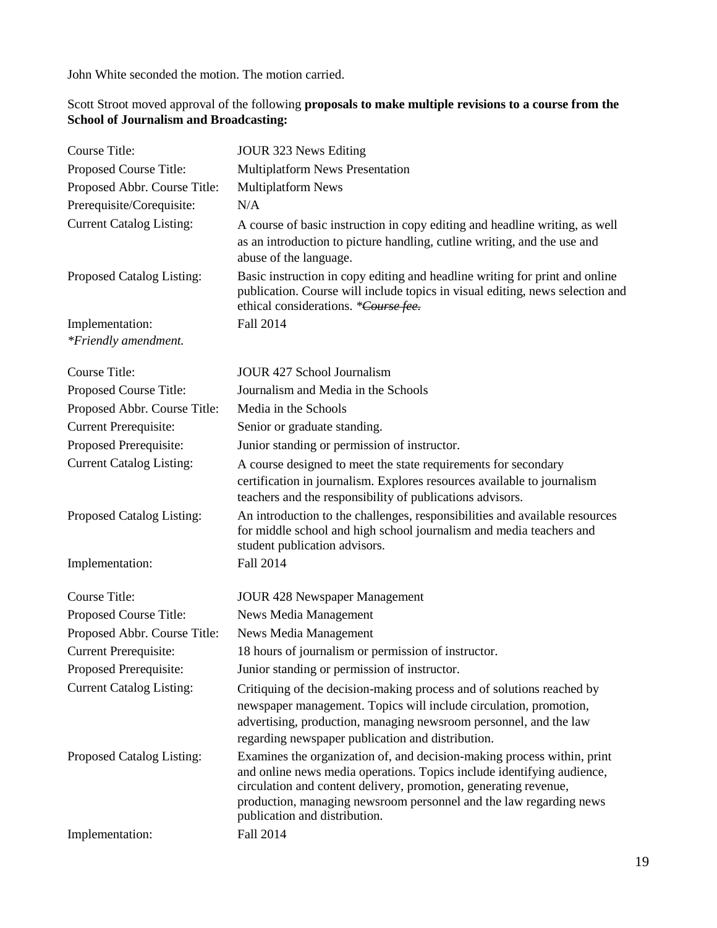### Scott Stroot moved approval of the following **proposals to make multiple revisions to a course from the School of Journalism and Broadcasting:**

| Course Title:                           | JOUR 323 News Editing                                                                                                                                                                                                                                                                                                        |
|-----------------------------------------|------------------------------------------------------------------------------------------------------------------------------------------------------------------------------------------------------------------------------------------------------------------------------------------------------------------------------|
| Proposed Course Title:                  | <b>Multiplatform News Presentation</b>                                                                                                                                                                                                                                                                                       |
| Proposed Abbr. Course Title:            | <b>Multiplatform News</b>                                                                                                                                                                                                                                                                                                    |
| Prerequisite/Corequisite:               | N/A                                                                                                                                                                                                                                                                                                                          |
| <b>Current Catalog Listing:</b>         | A course of basic instruction in copy editing and headline writing, as well<br>as an introduction to picture handling, cutline writing, and the use and<br>abuse of the language.                                                                                                                                            |
| Proposed Catalog Listing:               | Basic instruction in copy editing and headline writing for print and online<br>publication. Course will include topics in visual editing, news selection and<br>ethical considerations. *Course fee.                                                                                                                         |
| Implementation:<br>*Friendly amendment. | Fall 2014                                                                                                                                                                                                                                                                                                                    |
| Course Title:                           | <b>JOUR 427 School Journalism</b>                                                                                                                                                                                                                                                                                            |
| Proposed Course Title:                  | Journalism and Media in the Schools                                                                                                                                                                                                                                                                                          |
| Proposed Abbr. Course Title:            | Media in the Schools                                                                                                                                                                                                                                                                                                         |
| <b>Current Prerequisite:</b>            | Senior or graduate standing.                                                                                                                                                                                                                                                                                                 |
| Proposed Prerequisite:                  | Junior standing or permission of instructor.                                                                                                                                                                                                                                                                                 |
| <b>Current Catalog Listing:</b>         | A course designed to meet the state requirements for secondary<br>certification in journalism. Explores resources available to journalism<br>teachers and the responsibility of publications advisors.                                                                                                                       |
| Proposed Catalog Listing:               | An introduction to the challenges, responsibilities and available resources<br>for middle school and high school journalism and media teachers and<br>student publication advisors.                                                                                                                                          |
| Implementation:                         | Fall 2014                                                                                                                                                                                                                                                                                                                    |
| Course Title:                           | <b>JOUR 428 Newspaper Management</b>                                                                                                                                                                                                                                                                                         |
| Proposed Course Title:                  | News Media Management                                                                                                                                                                                                                                                                                                        |
| Proposed Abbr. Course Title:            | News Media Management                                                                                                                                                                                                                                                                                                        |
| <b>Current Prerequisite:</b>            | 18 hours of journalism or permission of instructor.                                                                                                                                                                                                                                                                          |
| Proposed Prerequisite:                  | Junior standing or permission of instructor.                                                                                                                                                                                                                                                                                 |
| <b>Current Catalog Listing:</b>         | Critiquing of the decision-making process and of solutions reached by<br>newspaper management. Topics will include circulation, promotion,<br>advertising, production, managing newsroom personnel, and the law<br>regarding newspaper publication and distribution.                                                         |
| Proposed Catalog Listing:               | Examines the organization of, and decision-making process within, print<br>and online news media operations. Topics include identifying audience,<br>circulation and content delivery, promotion, generating revenue,<br>production, managing newsroom personnel and the law regarding news<br>publication and distribution. |
| Implementation:                         | Fall 2014                                                                                                                                                                                                                                                                                                                    |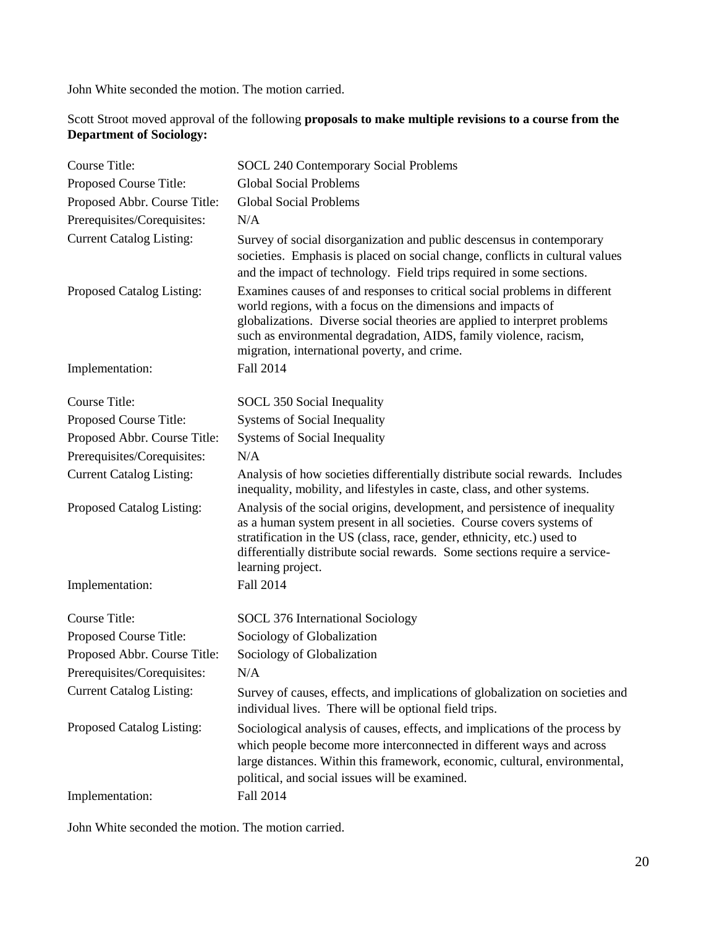Scott Stroot moved approval of the following **proposals to make multiple revisions to a course from the Department of Sociology:**

| <b>Course Title:</b>            | <b>SOCL 240 Contemporary Social Problems</b>                                                                                                                                                                                                                                                                                                |
|---------------------------------|---------------------------------------------------------------------------------------------------------------------------------------------------------------------------------------------------------------------------------------------------------------------------------------------------------------------------------------------|
| Proposed Course Title:          | <b>Global Social Problems</b>                                                                                                                                                                                                                                                                                                               |
| Proposed Abbr. Course Title:    | <b>Global Social Problems</b>                                                                                                                                                                                                                                                                                                               |
| Prerequisites/Corequisites:     | N/A                                                                                                                                                                                                                                                                                                                                         |
| <b>Current Catalog Listing:</b> | Survey of social disorganization and public descensus in contemporary<br>societies. Emphasis is placed on social change, conflicts in cultural values<br>and the impact of technology. Field trips required in some sections.                                                                                                               |
| Proposed Catalog Listing:       | Examines causes of and responses to critical social problems in different<br>world regions, with a focus on the dimensions and impacts of<br>globalizations. Diverse social theories are applied to interpret problems<br>such as environmental degradation, AIDS, family violence, racism,<br>migration, international poverty, and crime. |
| Implementation:                 | Fall 2014                                                                                                                                                                                                                                                                                                                                   |
| <b>Course Title:</b>            | SOCL 350 Social Inequality                                                                                                                                                                                                                                                                                                                  |
| Proposed Course Title:          | <b>Systems of Social Inequality</b>                                                                                                                                                                                                                                                                                                         |
| Proposed Abbr. Course Title:    | Systems of Social Inequality                                                                                                                                                                                                                                                                                                                |
| Prerequisites/Corequisites:     | N/A                                                                                                                                                                                                                                                                                                                                         |
| <b>Current Catalog Listing:</b> | Analysis of how societies differentially distribute social rewards. Includes<br>inequality, mobility, and lifestyles in caste, class, and other systems.                                                                                                                                                                                    |
| Proposed Catalog Listing:       | Analysis of the social origins, development, and persistence of inequality<br>as a human system present in all societies. Course covers systems of<br>stratification in the US (class, race, gender, ethnicity, etc.) used to<br>differentially distribute social rewards. Some sections require a service-<br>learning project.            |
| Implementation:                 | Fall 2014                                                                                                                                                                                                                                                                                                                                   |
| <b>Course Title:</b>            | SOCL 376 International Sociology                                                                                                                                                                                                                                                                                                            |
| Proposed Course Title:          | Sociology of Globalization                                                                                                                                                                                                                                                                                                                  |
| Proposed Abbr. Course Title:    | Sociology of Globalization                                                                                                                                                                                                                                                                                                                  |
| Prerequisites/Corequisites:     | N/A                                                                                                                                                                                                                                                                                                                                         |
| <b>Current Catalog Listing:</b> | Survey of causes, effects, and implications of globalization on societies and<br>individual lives. There will be optional field trips.                                                                                                                                                                                                      |
| Proposed Catalog Listing:       | Sociological analysis of causes, effects, and implications of the process by<br>which people become more interconnected in different ways and across<br>large distances. Within this framework, economic, cultural, environmental,<br>political, and social issues will be examined.                                                        |
| Implementation:                 | Fall 2014                                                                                                                                                                                                                                                                                                                                   |

John White seconded the motion. The motion carried.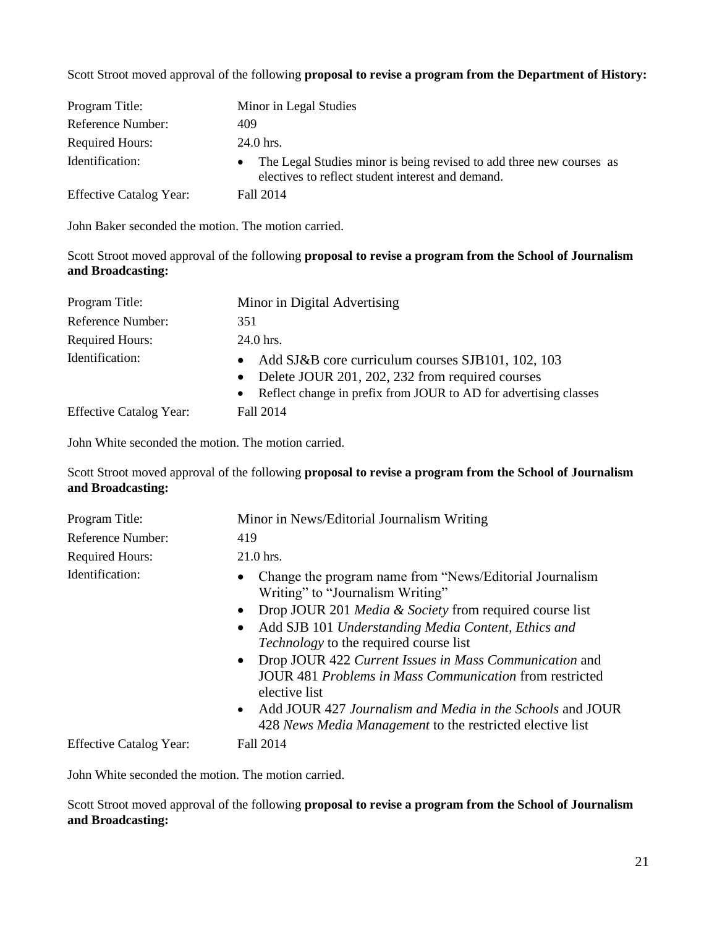Scott Stroot moved approval of the following **proposal to revise a program from the Department of History:**

| Program Title:                 | Minor in Legal Studies                                                                                                                 |
|--------------------------------|----------------------------------------------------------------------------------------------------------------------------------------|
| Reference Number:              | 409                                                                                                                                    |
| <b>Required Hours:</b>         | 24.0 hrs.                                                                                                                              |
| Identification:                | The Legal Studies minor is being revised to add three new courses as<br>$\bullet$<br>electives to reflect student interest and demand. |
| <b>Effective Catalog Year:</b> | Fall 2014                                                                                                                              |

John Baker seconded the motion. The motion carried.

Scott Stroot moved approval of the following **proposal to revise a program from the School of Journalism and Broadcasting:**

| Program Title:                 | Minor in Digital Advertising                                                                                                                                                                       |
|--------------------------------|----------------------------------------------------------------------------------------------------------------------------------------------------------------------------------------------------|
| Reference Number:              | 351                                                                                                                                                                                                |
| <b>Required Hours:</b>         | 24.0 hrs.                                                                                                                                                                                          |
| Identification:                | Add SJ&B core curriculum courses SJB101, 102, 103<br>Delete JOUR 201, 202, 232 from required courses<br>$\bullet$<br>Reflect change in prefix from JOUR to AD for advertising classes<br>$\bullet$ |
| <b>Effective Catalog Year:</b> | Fall 2014                                                                                                                                                                                          |

John White seconded the motion. The motion carried.

Scott Stroot moved approval of the following **proposal to revise a program from the School of Journalism and Broadcasting:**

| Program Title:                 | Minor in News/Editorial Journalism Writing                                                                                                                                                                                                                                                                                                                                                                                                                                                                                                                                        |
|--------------------------------|-----------------------------------------------------------------------------------------------------------------------------------------------------------------------------------------------------------------------------------------------------------------------------------------------------------------------------------------------------------------------------------------------------------------------------------------------------------------------------------------------------------------------------------------------------------------------------------|
| Reference Number:              | 419                                                                                                                                                                                                                                                                                                                                                                                                                                                                                                                                                                               |
| <b>Required Hours:</b>         | $21.0$ hrs.                                                                                                                                                                                                                                                                                                                                                                                                                                                                                                                                                                       |
| Identification:                | Change the program name from "News/Editorial Journalism"<br>$\bullet$<br>Writing" to "Journalism Writing"<br>Drop JOUR 201 Media & Society from required course list<br>$\bullet$<br>Add SJB 101 Understanding Media Content, Ethics and<br>$\bullet$<br><i>Technology</i> to the required course list<br>• Drop JOUR 422 Current Issues in Mass Communication and<br>JOUR 481 <i>Problems in Mass Communication</i> from restricted<br>elective list<br>• Add JOUR 427 Journalism and Media in the Schools and JOUR<br>428 News Media Management to the restricted elective list |
| <b>Effective Catalog Year:</b> | Fall 2014                                                                                                                                                                                                                                                                                                                                                                                                                                                                                                                                                                         |

John White seconded the motion. The motion carried.

Scott Stroot moved approval of the following **proposal to revise a program from the School of Journalism and Broadcasting:**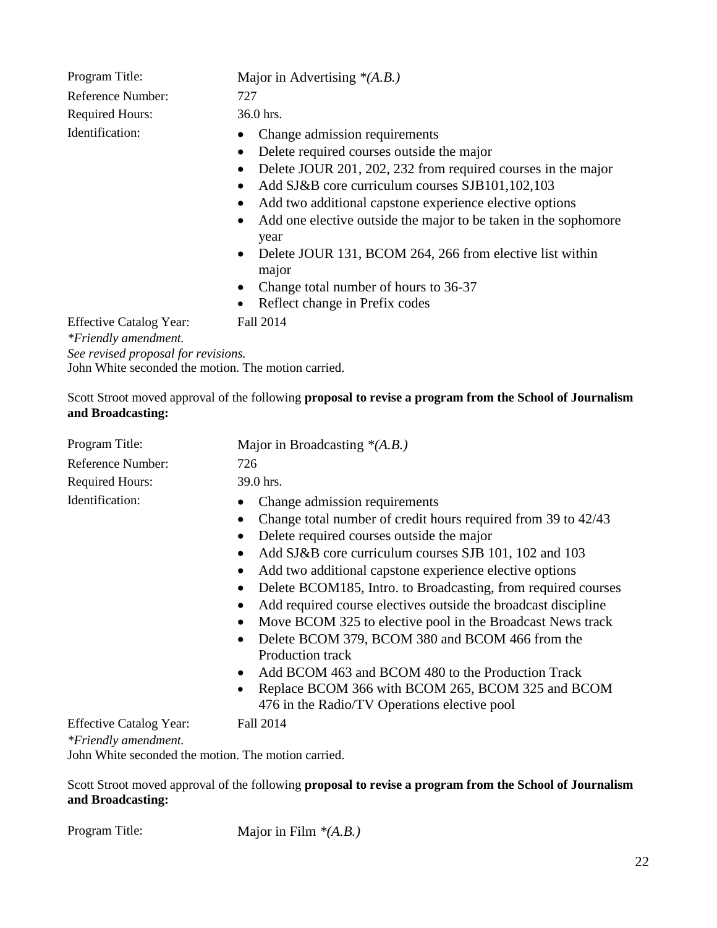Reference Number: 727 Required Hours: 36.0 hrs.

# Program Title: Major in Advertising *\**(*A.B.*)

- Identification: Change admission requirements
	- Delete required courses outside the major
	- Delete JOUR 201, 202, 232 from required courses in the major
	- Add SJ&B core curriculum courses SJB101,102,103
	- Add two additional capstone experience elective options
	- Add one elective outside the major to be taken in the sophomore year
	- Delete JOUR 131, BCOM 264, 266 from elective list within major
	- Change total number of hours to 36-37
	- Reflect change in Prefix codes

Effective Catalog Year: Fall 2014

*\*Friendly amendment.*

*See revised proposal for revisions.*

John White seconded the motion. The motion carried.

Scott Stroot moved approval of the following **proposal to revise a program from the School of Journalism and Broadcasting:**

| Program Title:                                         | Major in Broadcasting $*(A.B.)$                                                                                                                                                                                                                                                                                                                                                                                                                                                                                                                                                                                                                                                                                                    |
|--------------------------------------------------------|------------------------------------------------------------------------------------------------------------------------------------------------------------------------------------------------------------------------------------------------------------------------------------------------------------------------------------------------------------------------------------------------------------------------------------------------------------------------------------------------------------------------------------------------------------------------------------------------------------------------------------------------------------------------------------------------------------------------------------|
| Reference Number:                                      | 726                                                                                                                                                                                                                                                                                                                                                                                                                                                                                                                                                                                                                                                                                                                                |
| <b>Required Hours:</b>                                 | 39.0 hrs.                                                                                                                                                                                                                                                                                                                                                                                                                                                                                                                                                                                                                                                                                                                          |
| Identification:                                        | Change admission requirements<br>Change total number of credit hours required from 39 to 42/43<br>Delete required courses outside the major<br>Add SJ&B core curriculum courses SJB 101, 102 and 103<br>$\bullet$<br>Add two additional capstone experience elective options<br>Delete BCOM185, Intro. to Broadcasting, from required courses<br>$\bullet$<br>Add required course electives outside the broadcast discipline<br>Move BCOM 325 to elective pool in the Broadcast News track<br>Delete BCOM 379, BCOM 380 and BCOM 466 from the<br><b>Production track</b><br>Add BCOM 463 and BCOM 480 to the Production Track<br>Replace BCOM 366 with BCOM 265, BCOM 325 and BCOM<br>476 in the Radio/TV Operations elective pool |
| <b>Effective Catalog Year:</b><br>*Friendly amendment. | Fall 2014                                                                                                                                                                                                                                                                                                                                                                                                                                                                                                                                                                                                                                                                                                                          |

John White seconded the motion. The motion carried.

Scott Stroot moved approval of the following **proposal to revise a program from the School of Journalism and Broadcasting:**

Program Title: Major in Film *\*(A.B.)*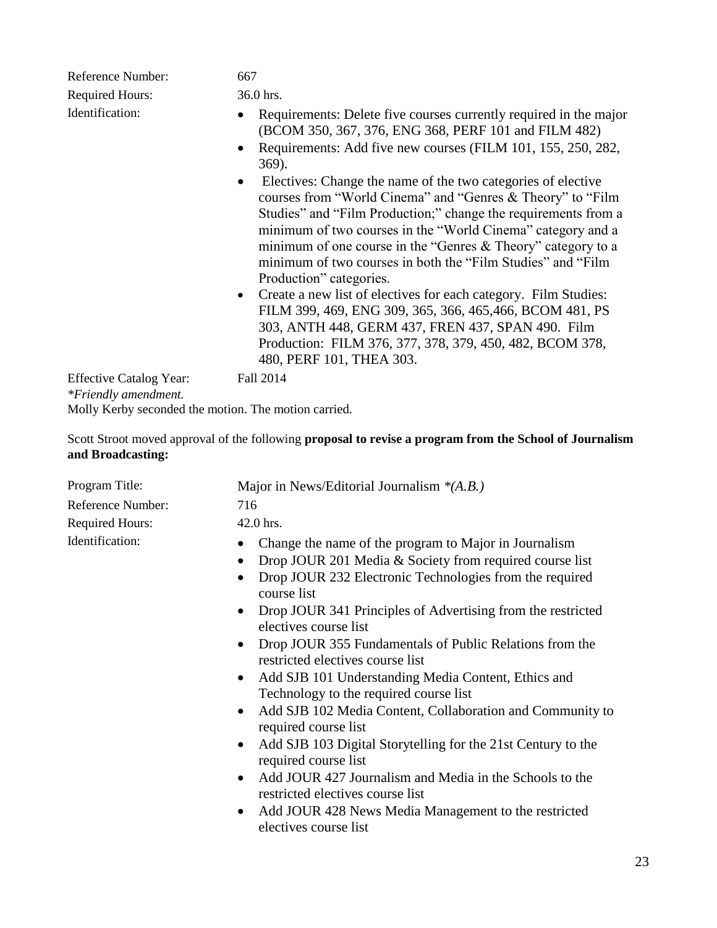| Reference Number:                               | 667                                                                                                                                                                                                                                                                                                                                                                                                                                                                                                                                                                                                                                                                                                 |
|-------------------------------------------------|-----------------------------------------------------------------------------------------------------------------------------------------------------------------------------------------------------------------------------------------------------------------------------------------------------------------------------------------------------------------------------------------------------------------------------------------------------------------------------------------------------------------------------------------------------------------------------------------------------------------------------------------------------------------------------------------------------|
| <b>Required Hours:</b>                          | 36.0 hrs.                                                                                                                                                                                                                                                                                                                                                                                                                                                                                                                                                                                                                                                                                           |
| Identification:                                 | Requirements: Delete five courses currently required in the major<br>(BCOM 350, 367, 376, ENG 368, PERF 101 and FILM 482)<br>Requirements: Add five new courses (FILM 101, 155, 250, 282,<br>369).                                                                                                                                                                                                                                                                                                                                                                                                                                                                                                  |
|                                                 | Electives: Change the name of the two categories of elective<br>courses from "World Cinema" and "Genres & Theory" to "Film<br>Studies" and "Film Production;" change the requirements from a<br>minimum of two courses in the "World Cinema" category and a<br>minimum of one course in the "Genres & Theory" category to a<br>minimum of two courses in both the "Film Studies" and "Film<br>Production" categories.<br>• Create a new list of electives for each category. Film Studies:<br>FILM 399, 469, ENG 309, 365, 366, 465, 466, BCOM 481, PS<br>303, ANTH 448, GERM 437, FREN 437, SPAN 490. Film<br>Production: FILM 376, 377, 378, 379, 450, 482, BCOM 378,<br>480, PERF 101, THEA 303. |
| <b>Effective Catalog Year:</b><br>$\sim$ $\sim$ | Fall 2014                                                                                                                                                                                                                                                                                                                                                                                                                                                                                                                                                                                                                                                                                           |

*\*Friendly amendment.*

Molly Kerby seconded the motion. The motion carried.

Scott Stroot moved approval of the following **proposal to revise a program from the School of Journalism and Broadcasting:**

| Program Title:         | Major in News/Editorial Journalism $*(A.B.)$                                                                                                                                                                                                                                                                                                                                                                                                                                                                                                                                                                                                                                                                                                                                                                                                                                                                                               |
|------------------------|--------------------------------------------------------------------------------------------------------------------------------------------------------------------------------------------------------------------------------------------------------------------------------------------------------------------------------------------------------------------------------------------------------------------------------------------------------------------------------------------------------------------------------------------------------------------------------------------------------------------------------------------------------------------------------------------------------------------------------------------------------------------------------------------------------------------------------------------------------------------------------------------------------------------------------------------|
| Reference Number:      | 716                                                                                                                                                                                                                                                                                                                                                                                                                                                                                                                                                                                                                                                                                                                                                                                                                                                                                                                                        |
| <b>Required Hours:</b> | 42.0 hrs.                                                                                                                                                                                                                                                                                                                                                                                                                                                                                                                                                                                                                                                                                                                                                                                                                                                                                                                                  |
| Identification:        | Change the name of the program to Major in Journalism<br>Drop JOUR 201 Media & Society from required course list<br>Drop JOUR 232 Electronic Technologies from the required<br>course list<br>Drop JOUR 341 Principles of Advertising from the restricted<br>$\bullet$<br>electives course list<br>Drop JOUR 355 Fundamentals of Public Relations from the<br>$\bullet$<br>restricted electives course list<br>Add SJB 101 Understanding Media Content, Ethics and<br>$\bullet$<br>Technology to the required course list<br>Add SJB 102 Media Content, Collaboration and Community to<br>$\bullet$<br>required course list<br>Add SJB 103 Digital Storytelling for the 21st Century to the<br>$\bullet$<br>required course list<br>Add JOUR 427 Journalism and Media in the Schools to the<br>$\bullet$<br>restricted electives course list<br>Add JOUR 428 News Media Management to the restricted<br>$\bullet$<br>electives course list |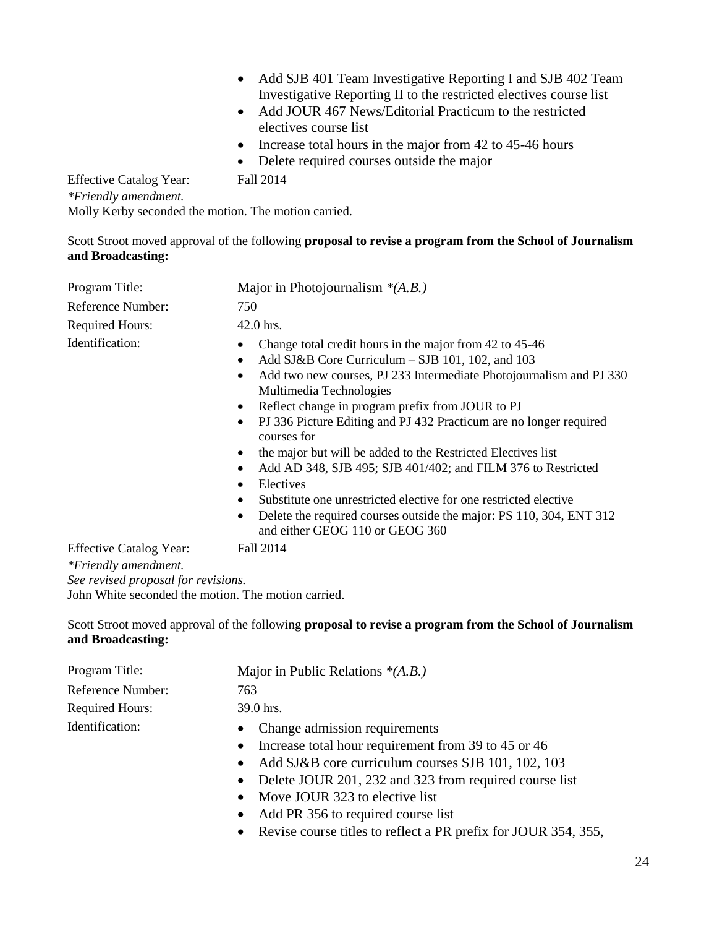- Add SJB 401 Team Investigative Reporting I and SJB 402 Team Investigative Reporting II to the restricted electives course list
- Add JOUR 467 News/Editorial Practicum to the restricted electives course list
- $\bullet$  Increase total hours in the major from 42 to 45-46 hours
- Delete required courses outside the major

Effective Catalog Year: Fall 2014 *\*Friendly amendment.* Molly Kerby seconded the motion. The motion carried.

Scott Stroot moved approval of the following **proposal to revise a program from the School of Journalism and Broadcasting:**

| Program Title:                                         | Major in Photojournalism $*(A.B.)$                                                                                                                                                                                                                                                                                                                                                                                                                                                                                                                                                                                                                                                                  |  |
|--------------------------------------------------------|-----------------------------------------------------------------------------------------------------------------------------------------------------------------------------------------------------------------------------------------------------------------------------------------------------------------------------------------------------------------------------------------------------------------------------------------------------------------------------------------------------------------------------------------------------------------------------------------------------------------------------------------------------------------------------------------------------|--|
| Reference Number:                                      | 750                                                                                                                                                                                                                                                                                                                                                                                                                                                                                                                                                                                                                                                                                                 |  |
| <b>Required Hours:</b>                                 | $42.0$ hrs.                                                                                                                                                                                                                                                                                                                                                                                                                                                                                                                                                                                                                                                                                         |  |
| Identification:                                        | Change total credit hours in the major from 42 to 45-46<br>Add SJ&B Core Curriculum – SJB 101, 102, and 103<br>$\bullet$<br>Add two new courses, PJ 233 Intermediate Photojournalism and PJ 330<br>Multimedia Technologies<br>Reflect change in program prefix from JOUR to PJ<br>PJ 336 Picture Editing and PJ 432 Practicum are no longer required<br>courses for<br>the major but will be added to the Restricted Electives list<br>Add AD 348, SJB 495; SJB 401/402; and FILM 376 to Restricted<br>Electives<br>٠<br>Substitute one unrestricted elective for one restricted elective<br>Delete the required courses outside the major: PS 110, 304, ENT 312<br>and either GEOG 110 or GEOG 360 |  |
| <b>Effective Catalog Year:</b><br>*Friendly amendment. | Fall 2014                                                                                                                                                                                                                                                                                                                                                                                                                                                                                                                                                                                                                                                                                           |  |

*See revised proposal for revisions.* John White seconded the motion. The motion carried.

Scott Stroot moved approval of the following **proposal to revise a program from the School of Journalism and Broadcasting:**

| Program Title:         | Major in Public Relations $*(A.B.)$                              |
|------------------------|------------------------------------------------------------------|
| Reference Number:      | 763                                                              |
| <b>Required Hours:</b> | 39.0 hrs.                                                        |
| Identification:        | • Change admission requirements                                  |
|                        | Increase total hour requirement from 39 to 45 or 46<br>$\bullet$ |
|                        | Add SJ&B core curriculum courses SJB 101, 102, 103<br>$\bullet$  |

- Delete JOUR 201, 232 and 323 from required course list
- Move JOUR 323 to elective list
- Add PR 356 to required course list
- Revise course titles to reflect a PR prefix for JOUR 354, 355,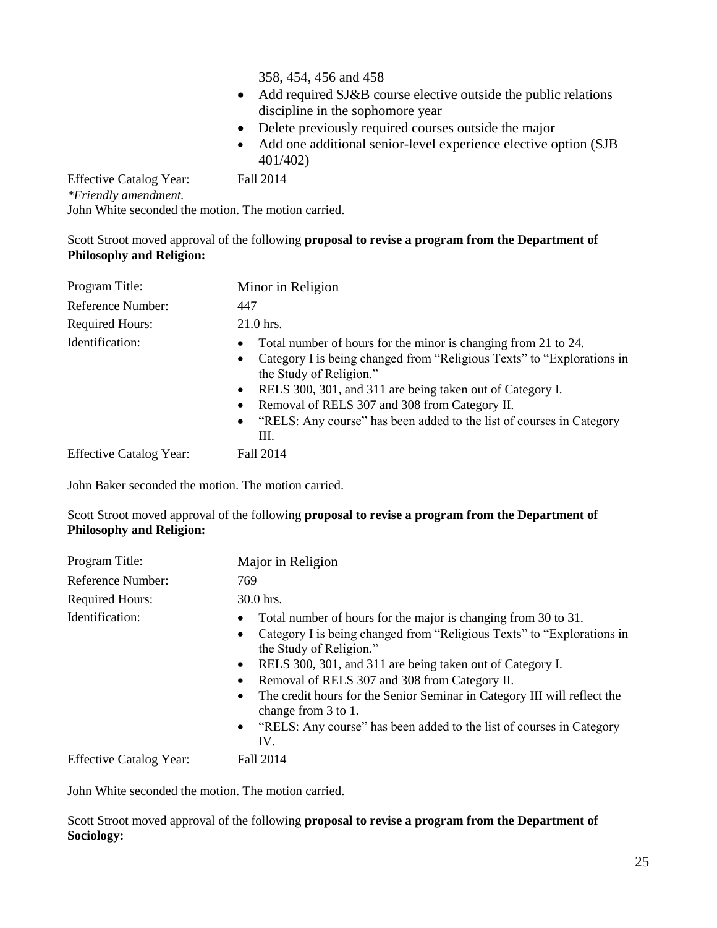358, 454, 456 and 458

- Add required SJ&B course elective outside the public relations discipline in the sophomore year
- Delete previously required courses outside the major
- Add one additional senior-level experience elective option (SJB 401/402)

Effective Catalog Year: Fall 2014 *\*Friendly amendment.* John White seconded the motion. The motion carried.

Scott Stroot moved approval of the following **proposal to revise a program from the Department of Philosophy and Religion:**

| Program Title:                 | Minor in Religion                                                                                                                                                                                                                                                                                                                                                            |  |
|--------------------------------|------------------------------------------------------------------------------------------------------------------------------------------------------------------------------------------------------------------------------------------------------------------------------------------------------------------------------------------------------------------------------|--|
| Reference Number:              | 447                                                                                                                                                                                                                                                                                                                                                                          |  |
| <b>Required Hours:</b>         | 21.0 hrs.                                                                                                                                                                                                                                                                                                                                                                    |  |
| Identification:                | Total number of hours for the minor is changing from 21 to 24.<br>Category I is being changed from "Religious Texts" to "Explorations in<br>the Study of Religion."<br>RELS 300, 301, and 311 are being taken out of Category I.<br>$\bullet$<br>Removal of RELS 307 and 308 from Category II.<br>"RELS: Any course" has been added to the list of courses in Category<br>Ш. |  |
| <b>Effective Catalog Year:</b> | Fall 2014                                                                                                                                                                                                                                                                                                                                                                    |  |

John Baker seconded the motion. The motion carried.

Scott Stroot moved approval of the following **proposal to revise a program from the Department of Philosophy and Religion:**

| Program Title:                 | Major in Religion                                                                                                                                                                                                                                                                                                                                                                                                                                                     |  |
|--------------------------------|-----------------------------------------------------------------------------------------------------------------------------------------------------------------------------------------------------------------------------------------------------------------------------------------------------------------------------------------------------------------------------------------------------------------------------------------------------------------------|--|
| Reference Number:              | 769                                                                                                                                                                                                                                                                                                                                                                                                                                                                   |  |
| <b>Required Hours:</b>         | 30.0 hrs.                                                                                                                                                                                                                                                                                                                                                                                                                                                             |  |
| Identification:                | Total number of hours for the major is changing from 30 to 31.<br>Category I is being changed from "Religious Texts" to "Explorations in<br>the Study of Religion."<br>RELS 300, 301, and 311 are being taken out of Category I.<br>Removal of RELS 307 and 308 from Category II.<br>The credit hours for the Senior Seminar in Category III will reflect the<br>change from 3 to 1.<br>• "RELS: Any course" has been added to the list of courses in Category<br>IV. |  |
| <b>Effective Catalog Year:</b> | Fall 2014                                                                                                                                                                                                                                                                                                                                                                                                                                                             |  |

John White seconded the motion. The motion carried.

Scott Stroot moved approval of the following **proposal to revise a program from the Department of Sociology:**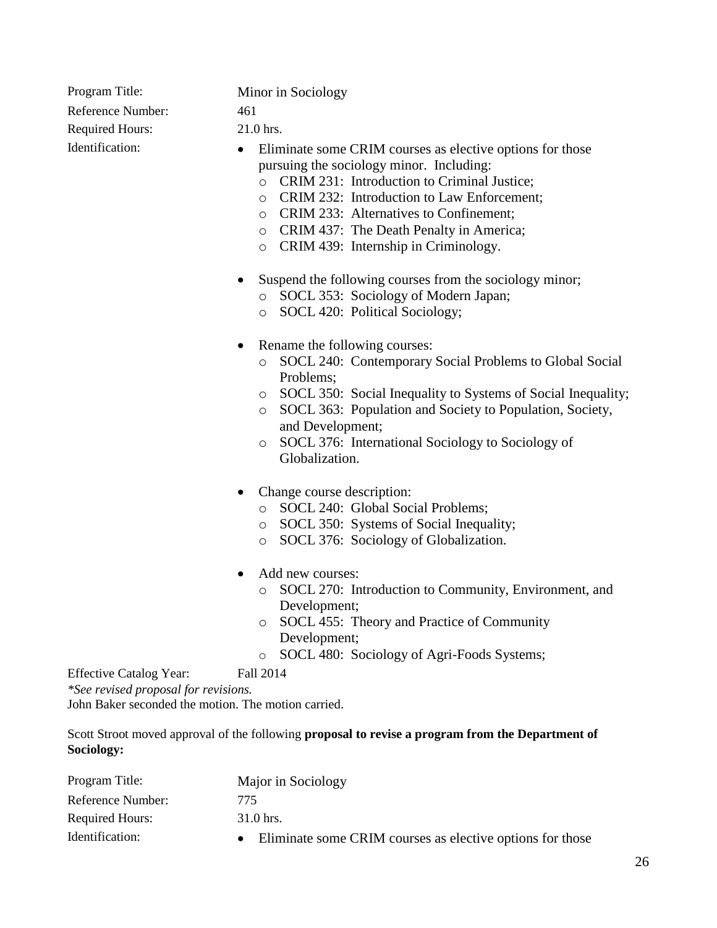Reference Number: 461 Required Hours: 21.0 hrs.

Program Title: Minor in Sociology

- Identification: Eliminate some CRIM courses as elective options for those pursuing the sociology minor. Including:
	- o CRIM 231: Introduction to Criminal Justice;
	- o CRIM 232: Introduction to Law Enforcement;
	- o CRIM 233: Alternatives to Confinement;
	- o CRIM 437: The Death Penalty in America;
	- o CRIM 439: Internship in Criminology.
	- Suspend the following courses from the sociology minor;
		- o SOCL 353: Sociology of Modern Japan;
		- o SOCL 420: Political Sociology;
	- Rename the following courses:
		- o SOCL 240: Contemporary Social Problems to Global Social Problems;
		- o SOCL 350: Social Inequality to Systems of Social Inequality;
		- o SOCL 363: Population and Society to Population, Society, and Development;
		- o SOCL 376: International Sociology to Sociology of Globalization.
	- Change course description:
		- o SOCL 240: Global Social Problems;
		- o SOCL 350: Systems of Social Inequality;
		- o SOCL 376: Sociology of Globalization.
	- Add new courses:
		- o SOCL 270: Introduction to Community, Environment, and Development;
		- o SOCL 455: Theory and Practice of Community Development;
		- o SOCL 480: Sociology of Agri-Foods Systems;

Effective Catalog Year: Fall 2014

*\*See revised proposal for revisions.*

John Baker seconded the motion. The motion carried.

Scott Stroot moved approval of the following **proposal to revise a program from the Department of Sociology:**

| Program Title:         |     | Major in Sociology                                        |
|------------------------|-----|-----------------------------------------------------------|
| Reference Number:      | 775 |                                                           |
| <b>Required Hours:</b> |     | $31.0$ hrs.                                               |
| Identification:        |     | Eliminate some CRIM courses as elective options for those |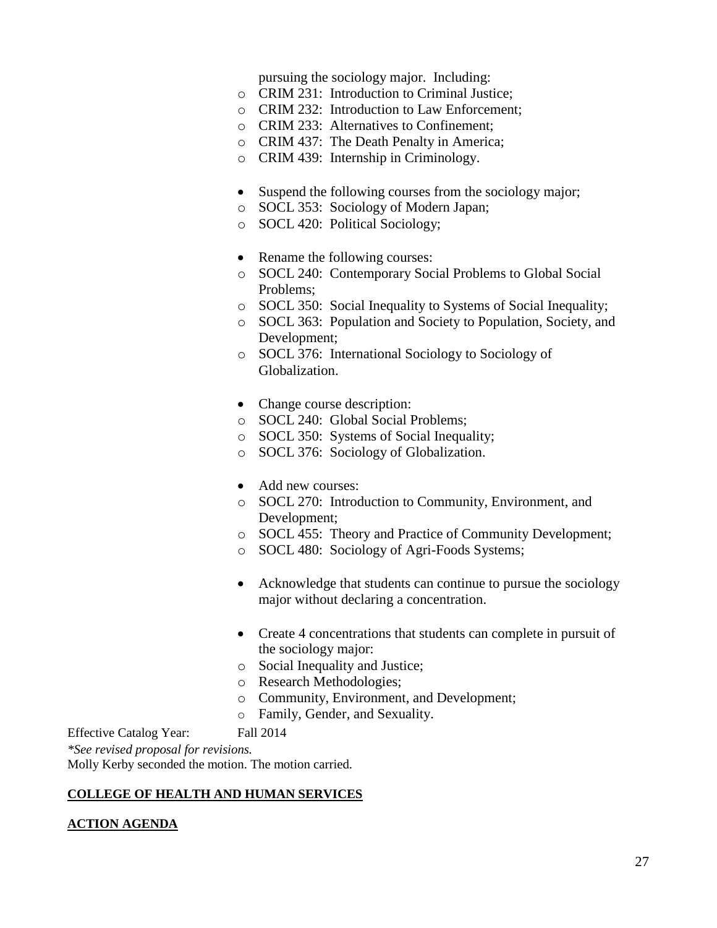pursuing the sociology major. Including:

- o CRIM 231: Introduction to Criminal Justice;
- o CRIM 232: Introduction to Law Enforcement;
- o CRIM 233: Alternatives to Confinement;
- o CRIM 437: The Death Penalty in America;
- o CRIM 439: Internship in Criminology.
- Suspend the following courses from the sociology major;
- o SOCL 353: Sociology of Modern Japan;
- o SOCL 420: Political Sociology;
- Rename the following courses:
- o SOCL 240: Contemporary Social Problems to Global Social Problems;
- o SOCL 350: Social Inequality to Systems of Social Inequality;
- o SOCL 363: Population and Society to Population, Society, and Development;
- o SOCL 376: International Sociology to Sociology of Globalization.
- Change course description:
- o SOCL 240: Global Social Problems;
- o SOCL 350: Systems of Social Inequality;
- o SOCL 376: Sociology of Globalization.
- Add new courses:
- o SOCL 270: Introduction to Community, Environment, and Development;
- o SOCL 455: Theory and Practice of Community Development;
- o SOCL 480: Sociology of Agri-Foods Systems;
- Acknowledge that students can continue to pursue the sociology major without declaring a concentration.
- Create 4 concentrations that students can complete in pursuit of the sociology major:
- o Social Inequality and Justice;
- o Research Methodologies;
- o Community, Environment, and Development;
- o Family, Gender, and Sexuality.

Effective Catalog Year: Fall 2014

*\*See revised proposal for revisions.*

Molly Kerby seconded the motion. The motion carried.

#### **COLLEGE OF HEALTH AND HUMAN SERVICES**

#### **ACTION AGENDA**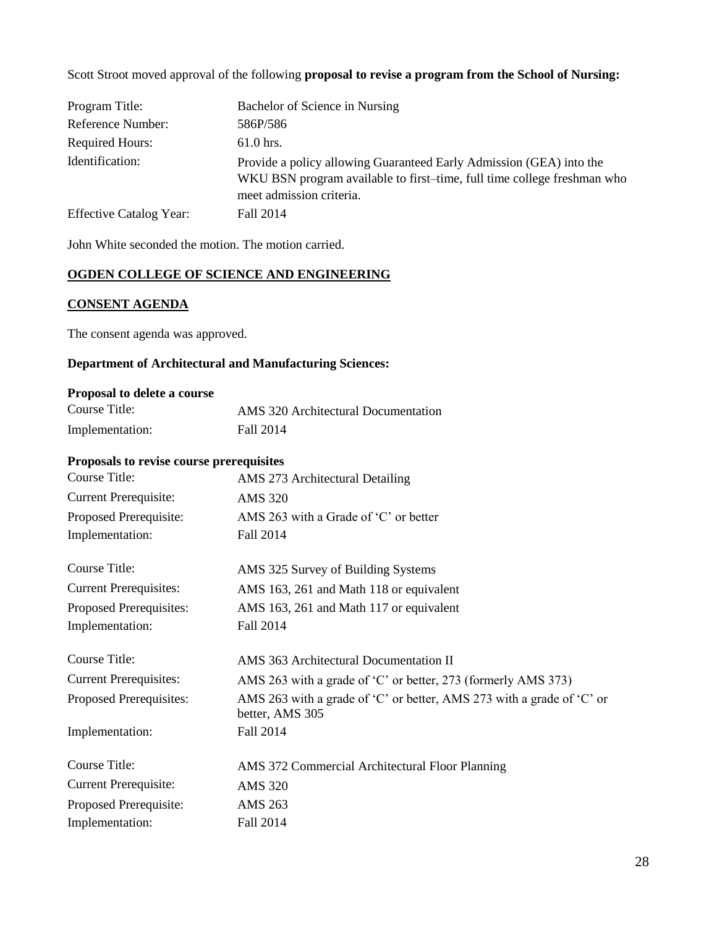Scott Stroot moved approval of the following **proposal to revise a program from the School of Nursing:**

| Program Title:                 | Bachelor of Science in Nursing                                                                                                                                             |
|--------------------------------|----------------------------------------------------------------------------------------------------------------------------------------------------------------------------|
| Reference Number:              | 586P/586                                                                                                                                                                   |
| <b>Required Hours:</b>         | $61.0$ hrs.                                                                                                                                                                |
| Identification:                | Provide a policy allowing Guaranteed Early Admission (GEA) into the<br>WKU BSN program available to first-time, full time college freshman who<br>meet admission criteria. |
| <b>Effective Catalog Year:</b> | Fall 2014                                                                                                                                                                  |

John White seconded the motion. The motion carried.

# **OGDEN COLLEGE OF SCIENCE AND ENGINEERING**

# **CONSENT AGENDA**

The consent agenda was approved.

## **Department of Architectural and Manufacturing Sciences:**

#### **Proposal to delete a course**

| Course Title:   | AMS 320 Architectural Documentation |
|-----------------|-------------------------------------|
| Implementation: | Fall 2014                           |

#### **Proposals to revise course prerequisites**

| Course Title:                 | AMS 273 Architectural Detailing                                                          |
|-------------------------------|------------------------------------------------------------------------------------------|
| <b>Current Prerequisite:</b>  | <b>AMS 320</b>                                                                           |
| Proposed Prerequisite:        | AMS 263 with a Grade of 'C' or better                                                    |
| Implementation:               | Fall 2014                                                                                |
| Course Title:                 | AMS 325 Survey of Building Systems                                                       |
| <b>Current Prerequisites:</b> | AMS 163, 261 and Math 118 or equivalent                                                  |
| Proposed Prerequisites:       | AMS 163, 261 and Math 117 or equivalent                                                  |
| Implementation:               | Fall 2014                                                                                |
| Course Title:                 | AMS 363 Architectural Documentation II                                                   |
| <b>Current Prerequisites:</b> | AMS 263 with a grade of 'C' or better, 273 (formerly AMS 373)                            |
| Proposed Prerequisites:       | AMS 263 with a grade of 'C' or better, AMS 273 with a grade of 'C' or<br>better, AMS 305 |
| Implementation:               | Fall 2014                                                                                |
| Course Title:                 | AMS 372 Commercial Architectural Floor Planning                                          |
| <b>Current Prerequisite:</b>  | <b>AMS 320</b>                                                                           |
| Proposed Prerequisite:        | AMS 263                                                                                  |
| Implementation:               | Fall 2014                                                                                |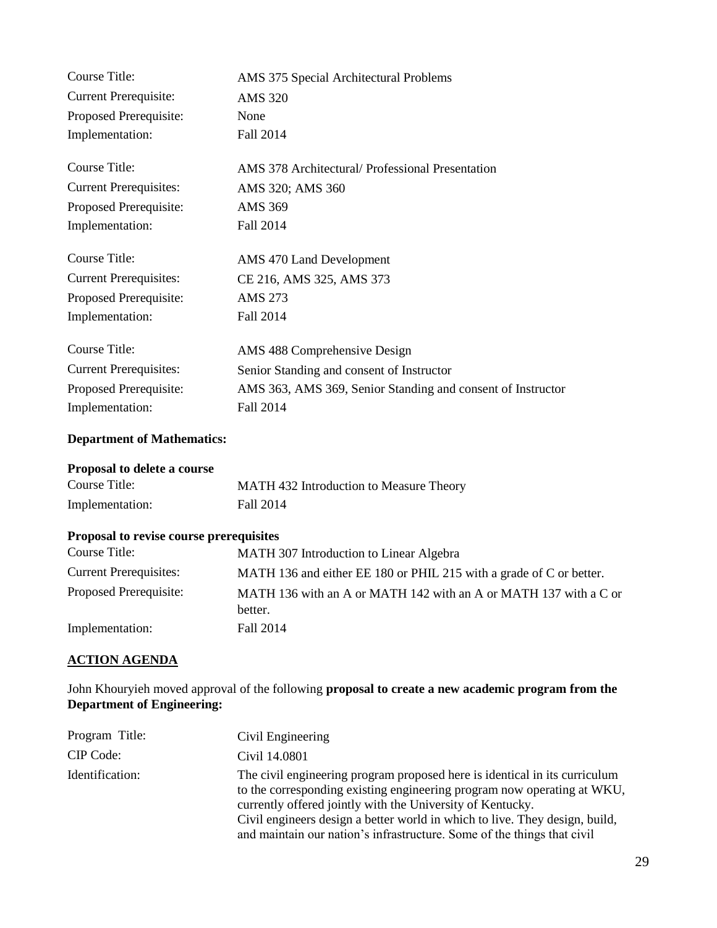| AMS 375 Special Architectural Problems                      |
|-------------------------------------------------------------|
| <b>AMS 320</b>                                              |
| None                                                        |
| Fall 2014                                                   |
| AMS 378 Architectural/ Professional Presentation            |
| AMS 320; AMS 360                                            |
| <b>AMS 369</b>                                              |
| Fall 2014                                                   |
| AMS 470 Land Development                                    |
| CE 216, AMS 325, AMS 373                                    |
| <b>AMS 273</b>                                              |
| Fall 2014                                                   |
| AMS 488 Comprehensive Design                                |
| Senior Standing and consent of Instructor                   |
| AMS 363, AMS 369, Senior Standing and consent of Instructor |
| Fall 2014                                                   |
|                                                             |

#### **Department of Mathematics:**

# **Proposal to delete a course**

| Course Title:   | MATH 432 Introduction to Measure Theory |
|-----------------|-----------------------------------------|
| Implementation: | Fall 2014                               |

# **Proposal to revise course prerequisites**

| Course Title:                 | MATH 307 Introduction to Linear Algebra                             |
|-------------------------------|---------------------------------------------------------------------|
| <b>Current Prerequisites:</b> | MATH 136 and either EE 180 or PHIL 215 with a grade of C or better. |
| Proposed Prerequisite:        | MATH 136 with an A or MATH 142 with an A or MATH 137 with a C or    |
|                               | better.                                                             |
| Implementation:               | Fall 2014                                                           |

## **ACTION AGENDA**

John Khouryieh moved approval of the following **proposal to create a new academic program from the Department of Engineering:**

| Program Title:  | Civil Engineering                                                                                                                                                                                                                                                                                                                                                             |
|-----------------|-------------------------------------------------------------------------------------------------------------------------------------------------------------------------------------------------------------------------------------------------------------------------------------------------------------------------------------------------------------------------------|
| CIP Code:       | Civil 14.0801                                                                                                                                                                                                                                                                                                                                                                 |
| Identification: | The civil engineering program proposed here is identical in its curriculum<br>to the corresponding existing engineering program now operating at WKU,<br>currently offered jointly with the University of Kentucky.<br>Civil engineers design a better world in which to live. They design, build,<br>and maintain our nation's infrastructure. Some of the things that civil |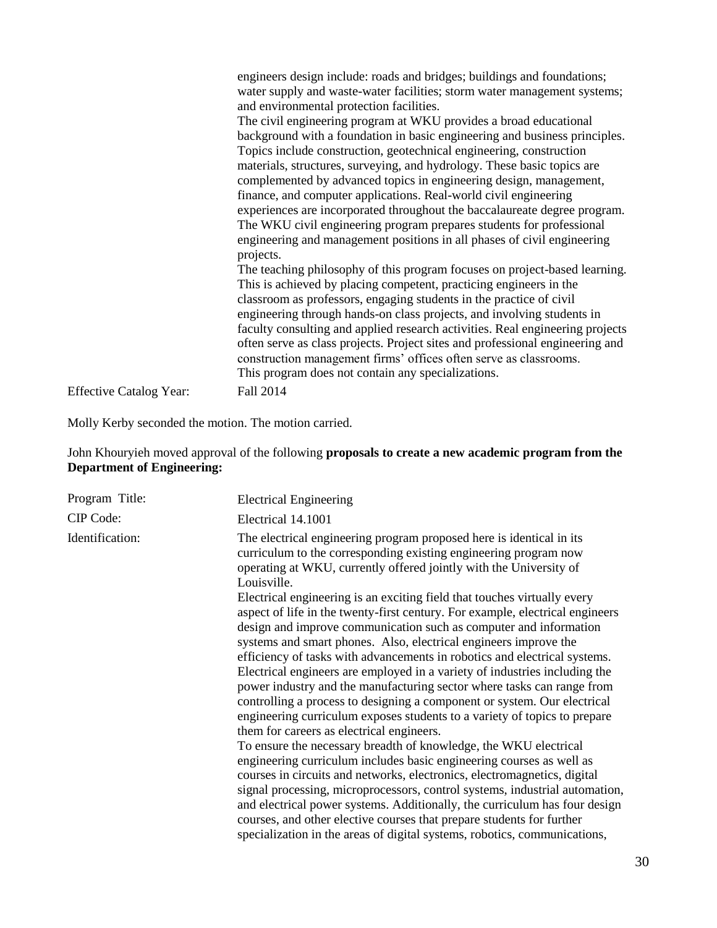|                                | engineers design include: roads and bridges; buildings and foundations;<br>water supply and waste-water facilities; storm water management systems;<br>and environmental protection facilities.<br>The civil engineering program at WKU provides a broad educational<br>background with a foundation in basic engineering and business principles.<br>Topics include construction, geotechnical engineering, construction<br>materials, structures, surveying, and hydrology. These basic topics are<br>complemented by advanced topics in engineering design, management,<br>finance, and computer applications. Real-world civil engineering<br>experiences are incorporated throughout the baccalaureate degree program.<br>The WKU civil engineering program prepares students for professional<br>engineering and management positions in all phases of civil engineering<br>projects. |
|--------------------------------|---------------------------------------------------------------------------------------------------------------------------------------------------------------------------------------------------------------------------------------------------------------------------------------------------------------------------------------------------------------------------------------------------------------------------------------------------------------------------------------------------------------------------------------------------------------------------------------------------------------------------------------------------------------------------------------------------------------------------------------------------------------------------------------------------------------------------------------------------------------------------------------------|
|                                | The teaching philosophy of this program focuses on project-based learning.<br>This is achieved by placing competent, practicing engineers in the<br>classroom as professors, engaging students in the practice of civil<br>engineering through hands-on class projects, and involving students in<br>faculty consulting and applied research activities. Real engineering projects<br>often serve as class projects. Project sites and professional engineering and<br>construction management firms' offices often serve as classrooms.<br>This program does not contain any specializations.<br>Fall 2014                                                                                                                                                                                                                                                                                 |
| <b>Effective Catalog Year:</b> |                                                                                                                                                                                                                                                                                                                                                                                                                                                                                                                                                                                                                                                                                                                                                                                                                                                                                             |

Molly Kerby seconded the motion. The motion carried.

### John Khouryieh moved approval of the following **proposals to create a new academic program from the Department of Engineering:**

| Program Title:  | <b>Electrical Engineering</b>                                                                                                                                                                                                                                                                                                                                                                                                                                                                                                                                                                                                                                                                                                                                                                                                                                                                                                                                                                                                                                                                                                                                                                                                                                                                                                                                                                                                                                                                                             |
|-----------------|---------------------------------------------------------------------------------------------------------------------------------------------------------------------------------------------------------------------------------------------------------------------------------------------------------------------------------------------------------------------------------------------------------------------------------------------------------------------------------------------------------------------------------------------------------------------------------------------------------------------------------------------------------------------------------------------------------------------------------------------------------------------------------------------------------------------------------------------------------------------------------------------------------------------------------------------------------------------------------------------------------------------------------------------------------------------------------------------------------------------------------------------------------------------------------------------------------------------------------------------------------------------------------------------------------------------------------------------------------------------------------------------------------------------------------------------------------------------------------------------------------------------------|
| CIP Code:       | Electrical 14.1001                                                                                                                                                                                                                                                                                                                                                                                                                                                                                                                                                                                                                                                                                                                                                                                                                                                                                                                                                                                                                                                                                                                                                                                                                                                                                                                                                                                                                                                                                                        |
| Identification: | The electrical engineering program proposed here is identical in its<br>curriculum to the corresponding existing engineering program now<br>operating at WKU, currently offered jointly with the University of<br>Louisville.<br>Electrical engineering is an exciting field that touches virtually every<br>aspect of life in the twenty-first century. For example, electrical engineers<br>design and improve communication such as computer and information<br>systems and smart phones. Also, electrical engineers improve the<br>efficiency of tasks with advancements in robotics and electrical systems.<br>Electrical engineers are employed in a variety of industries including the<br>power industry and the manufacturing sector where tasks can range from<br>controlling a process to designing a component or system. Our electrical<br>engineering curriculum exposes students to a variety of topics to prepare<br>them for careers as electrical engineers.<br>To ensure the necessary breadth of knowledge, the WKU electrical<br>engineering curriculum includes basic engineering courses as well as<br>courses in circuits and networks, electronics, electromagnetics, digital<br>signal processing, microprocessors, control systems, industrial automation,<br>and electrical power systems. Additionally, the curriculum has four design<br>courses, and other elective courses that prepare students for further<br>specialization in the areas of digital systems, robotics, communications, |
|                 |                                                                                                                                                                                                                                                                                                                                                                                                                                                                                                                                                                                                                                                                                                                                                                                                                                                                                                                                                                                                                                                                                                                                                                                                                                                                                                                                                                                                                                                                                                                           |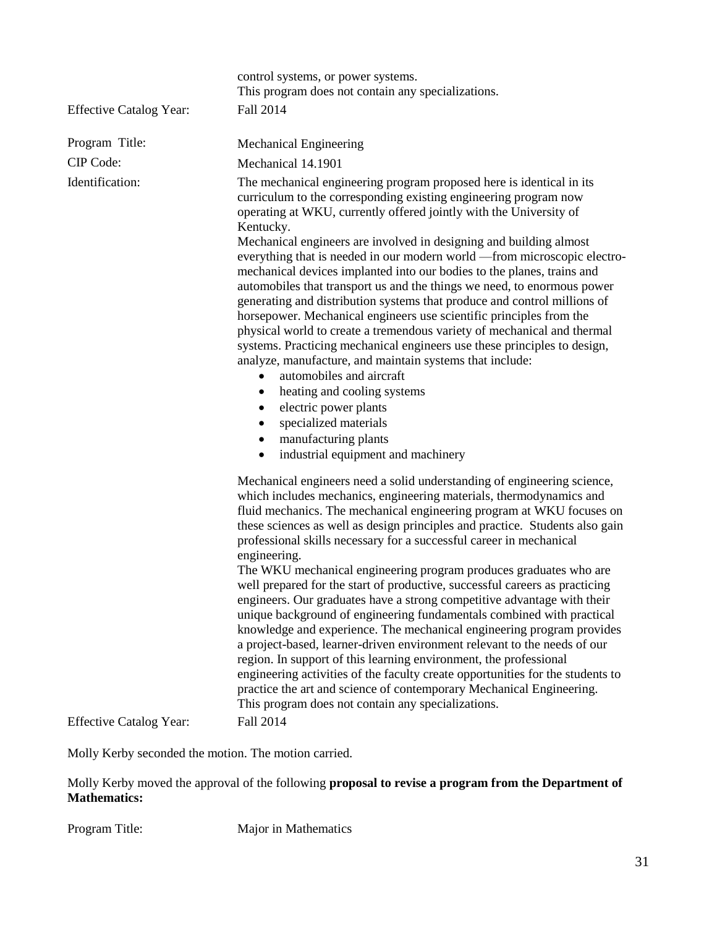| <b>Effective Catalog Year:</b> | control systems, or power systems.<br>This program does not contain any specializations.<br>Fall 2014                                                                                                                                                                                                                                                                                                                                                                                                                                                                                                                                                                                                                                                                                                                                                                                                                                                                                                                                                                                                                                            |
|--------------------------------|--------------------------------------------------------------------------------------------------------------------------------------------------------------------------------------------------------------------------------------------------------------------------------------------------------------------------------------------------------------------------------------------------------------------------------------------------------------------------------------------------------------------------------------------------------------------------------------------------------------------------------------------------------------------------------------------------------------------------------------------------------------------------------------------------------------------------------------------------------------------------------------------------------------------------------------------------------------------------------------------------------------------------------------------------------------------------------------------------------------------------------------------------|
| Program Title:                 | Mechanical Engineering                                                                                                                                                                                                                                                                                                                                                                                                                                                                                                                                                                                                                                                                                                                                                                                                                                                                                                                                                                                                                                                                                                                           |
| CIP Code:                      | Mechanical 14.1901                                                                                                                                                                                                                                                                                                                                                                                                                                                                                                                                                                                                                                                                                                                                                                                                                                                                                                                                                                                                                                                                                                                               |
| Identification:                | The mechanical engineering program proposed here is identical in its<br>curriculum to the corresponding existing engineering program now<br>operating at WKU, currently offered jointly with the University of<br>Kentucky.<br>Mechanical engineers are involved in designing and building almost<br>everything that is needed in our modern world -from microscopic electro-<br>mechanical devices implanted into our bodies to the planes, trains and<br>automobiles that transport us and the things we need, to enormous power<br>generating and distribution systems that produce and control millions of<br>horsepower. Mechanical engineers use scientific principles from the<br>physical world to create a tremendous variety of mechanical and thermal<br>systems. Practicing mechanical engineers use these principles to design,<br>analyze, manufacture, and maintain systems that include:<br>automobiles and aircraft<br>$\bullet$<br>heating and cooling systems<br>٠<br>electric power plants<br>٠<br>specialized materials<br>٠<br>manufacturing plants<br>٠<br>industrial equipment and machinery<br>$\bullet$                |
|                                | Mechanical engineers need a solid understanding of engineering science,<br>which includes mechanics, engineering materials, thermodynamics and<br>fluid mechanics. The mechanical engineering program at WKU focuses on<br>these sciences as well as design principles and practice. Students also gain<br>professional skills necessary for a successful career in mechanical<br>engineering.<br>The WKU mechanical engineering program produces graduates who are<br>well prepared for the start of productive, successful careers as practicing<br>engineers. Our graduates have a strong competitive advantage with their<br>unique background of engineering fundamentals combined with practical<br>knowledge and experience. The mechanical engineering program provides<br>a project-based, learner-driven environment relevant to the needs of our<br>region. In support of this learning environment, the professional<br>engineering activities of the faculty create opportunities for the students to<br>practice the art and science of contemporary Mechanical Engineering.<br>This program does not contain any specializations. |
| <b>Effective Catalog Year:</b> | Fall 2014                                                                                                                                                                                                                                                                                                                                                                                                                                                                                                                                                                                                                                                                                                                                                                                                                                                                                                                                                                                                                                                                                                                                        |

Molly Kerby seconded the motion. The motion carried.

Molly Kerby moved the approval of the following **proposal to revise a program from the Department of Mathematics:**

Program Title: Major in Mathematics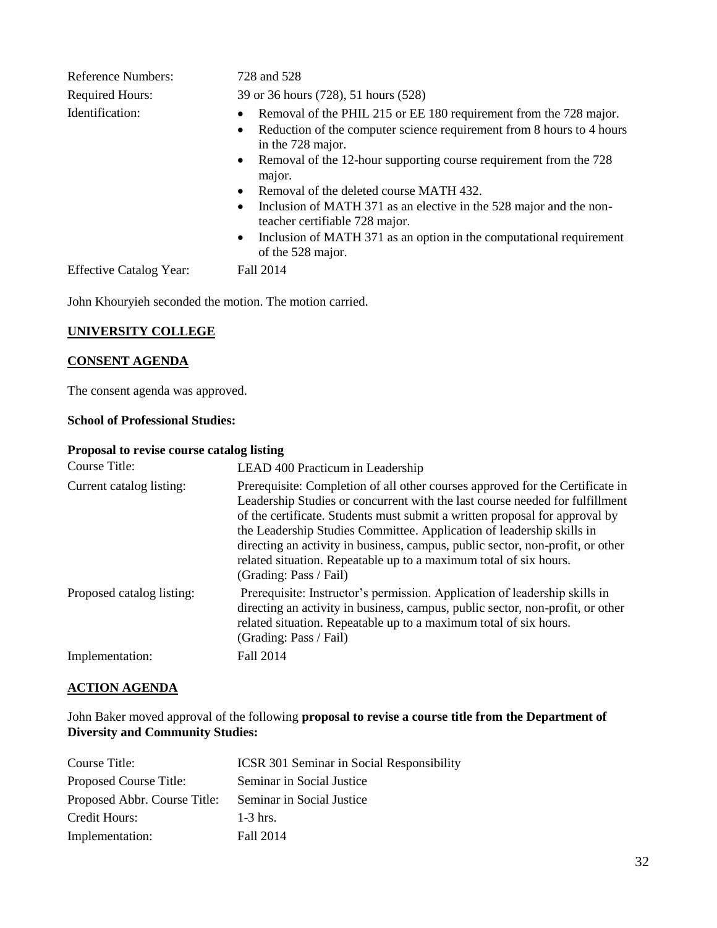| <b>Reference Numbers:</b>      | 728 and 528                                                                                                                                                                                                                                                                                                                                                                                                                                                                                                                            |
|--------------------------------|----------------------------------------------------------------------------------------------------------------------------------------------------------------------------------------------------------------------------------------------------------------------------------------------------------------------------------------------------------------------------------------------------------------------------------------------------------------------------------------------------------------------------------------|
| <b>Required Hours:</b>         | 39 or 36 hours (728), 51 hours (528)                                                                                                                                                                                                                                                                                                                                                                                                                                                                                                   |
| Identification:                | Removal of the PHIL 215 or EE 180 requirement from the 728 major.<br>Reduction of the computer science requirement from 8 hours to 4 hours<br>in the 728 major.<br>• Removal of the 12-hour supporting course requirement from the 728<br>major.<br>Removal of the deleted course MATH 432.<br>$\bullet$<br>Inclusion of MATH 371 as an elective in the 528 major and the non-<br>$\bullet$<br>teacher certifiable 728 major.<br>Inclusion of MATH 371 as an option in the computational requirement<br>$\bullet$<br>of the 528 major. |
| <b>Effective Catalog Year:</b> | Fall 2014                                                                                                                                                                                                                                                                                                                                                                                                                                                                                                                              |

## **UNIVERSITY COLLEGE**

#### **CONSENT AGENDA**

The consent agenda was approved.

#### **School of Professional Studies:**

#### **Proposal to revise course catalog listing**

| Course Title:             |                                                                                                                                                                                                                                                                                                                                                                                                                                                                                                                  |
|---------------------------|------------------------------------------------------------------------------------------------------------------------------------------------------------------------------------------------------------------------------------------------------------------------------------------------------------------------------------------------------------------------------------------------------------------------------------------------------------------------------------------------------------------|
| Current catalog listing:  | LEAD 400 Practicum in Leadership<br>Prerequisite: Completion of all other courses approved for the Certificate in<br>Leadership Studies or concurrent with the last course needed for fulfillment<br>of the certificate. Students must submit a written proposal for approval by<br>the Leadership Studies Committee. Application of leadership skills in<br>directing an activity in business, campus, public sector, non-profit, or other<br>related situation. Repeatable up to a maximum total of six hours. |
| Proposed catalog listing: | (Grading: Pass / Fail)<br>Prerequisite: Instructor's permission. Application of leadership skills in<br>directing an activity in business, campus, public sector, non-profit, or other<br>related situation. Repeatable up to a maximum total of six hours.<br>(Grading: Pass / Fail)                                                                                                                                                                                                                            |
| Implementation:           | Fall 2014                                                                                                                                                                                                                                                                                                                                                                                                                                                                                                        |

## **ACTION AGENDA**

John Baker moved approval of the following **proposal to revise a course title from the Department of Diversity and Community Studies:**

| Course Title:                | <b>ICSR 301 Seminar in Social Responsibility</b> |
|------------------------------|--------------------------------------------------|
| Proposed Course Title:       | Seminar in Social Justice                        |
| Proposed Abbr. Course Title: | Seminar in Social Justice                        |
| Credit Hours:                | $1-3$ hrs.                                       |
| Implementation:              | Fall 2014                                        |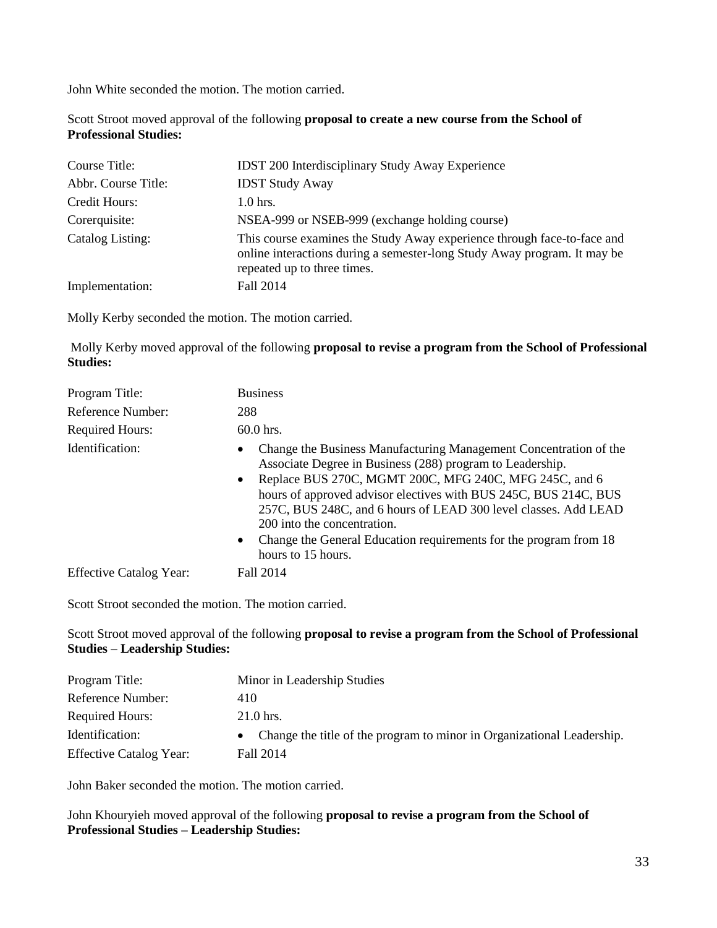Scott Stroot moved approval of the following **proposal to create a new course from the School of Professional Studies:**

| Course Title:       | <b>IDST 200 Interdisciplinary Study Away Experience</b>                                                                                                                            |
|---------------------|------------------------------------------------------------------------------------------------------------------------------------------------------------------------------------|
| Abbr. Course Title: | <b>IDST Study Away</b>                                                                                                                                                             |
| Credit Hours:       | $1.0$ hrs.                                                                                                                                                                         |
| Corerquisite:       | NSEA-999 or NSEB-999 (exchange holding course)                                                                                                                                     |
| Catalog Listing:    | This course examines the Study Away experience through face-to-face and<br>online interactions during a semester-long Study Away program. It may be<br>repeated up to three times. |
| Implementation:     | Fall 2014                                                                                                                                                                          |

Molly Kerby seconded the motion. The motion carried.

Molly Kerby moved approval of the following **proposal to revise a program from the School of Professional Studies:**

| Program Title:                 | <b>Business</b>                                                                                                                                                                                                                                                                                                                                                                                                                                             |
|--------------------------------|-------------------------------------------------------------------------------------------------------------------------------------------------------------------------------------------------------------------------------------------------------------------------------------------------------------------------------------------------------------------------------------------------------------------------------------------------------------|
| Reference Number:              | 288                                                                                                                                                                                                                                                                                                                                                                                                                                                         |
| <b>Required Hours:</b>         | $60.0$ hrs.                                                                                                                                                                                                                                                                                                                                                                                                                                                 |
| Identification:                | Change the Business Manufacturing Management Concentration of the<br>Associate Degree in Business (288) program to Leadership.<br>• Replace BUS 270C, MGMT 200C, MFG 240C, MFG 245C, and 6<br>hours of approved advisor electives with BUS 245C, BUS 214C, BUS<br>257C, BUS 248C, and 6 hours of LEAD 300 level classes. Add LEAD<br>200 into the concentration.<br>Change the General Education requirements for the program from 18<br>hours to 15 hours. |
| <b>Effective Catalog Year:</b> | Fall 2014                                                                                                                                                                                                                                                                                                                                                                                                                                                   |

Scott Stroot seconded the motion. The motion carried.

Scott Stroot moved approval of the following **proposal to revise a program from the School of Professional Studies – Leadership Studies:**

| Program Title:                 | Minor in Leadership Studies                                              |
|--------------------------------|--------------------------------------------------------------------------|
| Reference Number:              | 410                                                                      |
| <b>Required Hours:</b>         | $21.0$ hrs.                                                              |
| Identification:                | • Change the title of the program to minor in Organizational Leadership. |
| <b>Effective Catalog Year:</b> | Fall 2014                                                                |

John Baker seconded the motion. The motion carried.

John Khouryieh moved approval of the following **proposal to revise a program from the School of Professional Studies – Leadership Studies:**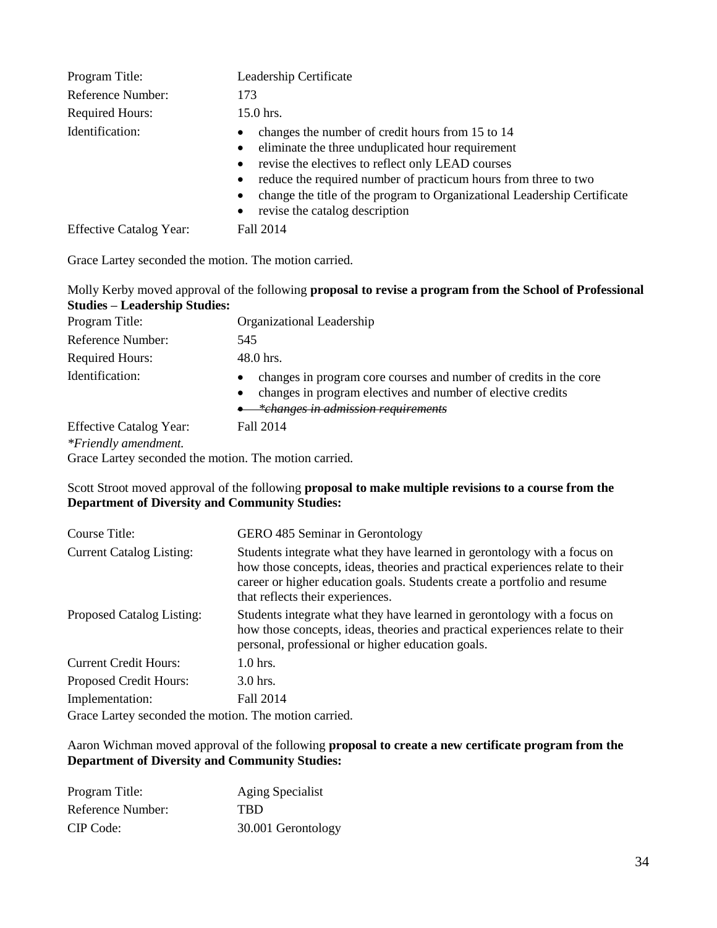| Program Title:<br>Reference Number:<br><b>Required Hours:</b> | Leadership Certificate<br>173<br>15.0 hrs.                                                                                                                                                                                                                                                                                                                                                      |
|---------------------------------------------------------------|-------------------------------------------------------------------------------------------------------------------------------------------------------------------------------------------------------------------------------------------------------------------------------------------------------------------------------------------------------------------------------------------------|
| Identification:                                               | changes the number of credit hours from 15 to 14<br>$\bullet$<br>eliminate the three unduplicated hour requirement<br>$\bullet$<br>revise the electives to reflect only LEAD courses<br>$\bullet$<br>reduce the required number of practicum hours from three to two<br>$\bullet$<br>change the title of the program to Organizational Leadership Certificate<br>revise the catalog description |
| <b>Effective Catalog Year:</b>                                | Fall 2014                                                                                                                                                                                                                                                                                                                                                                                       |

Grace Lartey seconded the motion. The motion carried.

#### Molly Kerby moved approval of the following **proposal to revise a program from the School of Professional Studies – Leadership Studies:**

| Program Title:                                         | Organizational Leadership                                                                                                                                                                        |
|--------------------------------------------------------|--------------------------------------------------------------------------------------------------------------------------------------------------------------------------------------------------|
| Reference Number:                                      | 545                                                                                                                                                                                              |
| <b>Required Hours:</b>                                 | 48.0 hrs.                                                                                                                                                                                        |
| Identification:                                        | changes in program core courses and number of credits in the core<br>$\bullet$<br>changes in program electives and number of elective credits<br>$\bullet$<br>*changes in admission requirements |
| <b>Effective Catalog Year:</b><br>*Friendly amendment. | Fall 2014                                                                                                                                                                                        |

Grace Lartey seconded the motion. The motion carried.

#### Scott Stroot moved approval of the following **proposal to make multiple revisions to a course from the Department of Diversity and Community Studies:**

| Course Title:                                         | GERO 485 Seminar in Gerontology                                                                                                                                                                                                                                           |
|-------------------------------------------------------|---------------------------------------------------------------------------------------------------------------------------------------------------------------------------------------------------------------------------------------------------------------------------|
| <b>Current Catalog Listing:</b>                       | Students integrate what they have learned in gerontology with a focus on<br>how those concepts, ideas, theories and practical experiences relate to their<br>career or higher education goals. Students create a portfolio and resume<br>that reflects their experiences. |
| Proposed Catalog Listing:                             | Students integrate what they have learned in gerontology with a focus on<br>how those concepts, ideas, theories and practical experiences relate to their<br>personal, professional or higher education goals.                                                            |
| <b>Current Credit Hours:</b>                          | $1.0$ hrs.                                                                                                                                                                                                                                                                |
| <b>Proposed Credit Hours:</b>                         | $3.0$ hrs.                                                                                                                                                                                                                                                                |
| Implementation:                                       | Fall 2014                                                                                                                                                                                                                                                                 |
| Grace Lartey seconded the motion. The motion carried. |                                                                                                                                                                                                                                                                           |

#### Aaron Wichman moved approval of the following **proposal to create a new certificate program from the Department of Diversity and Community Studies:**

| Program Title:    | <b>Aging Specialist</b> |
|-------------------|-------------------------|
| Reference Number: | <b>TRD</b>              |
| CIP Code:         | 30.001 Gerontology      |